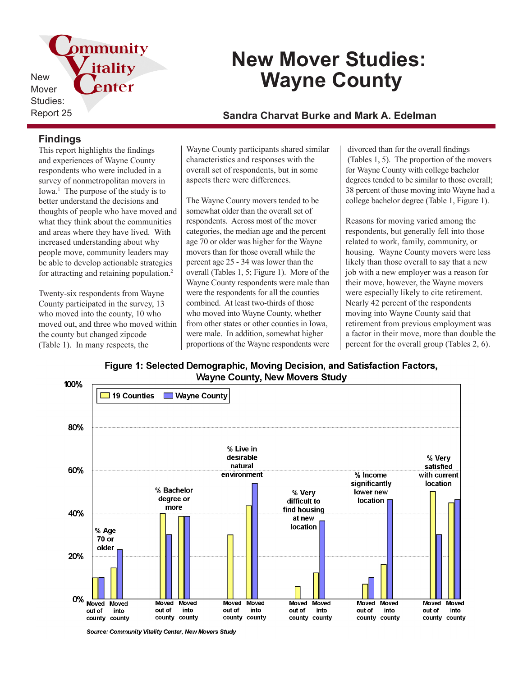pmmunity itality New Mover Studies:

# **New Mover Studies: Wayne County**

## Report 25 **Sandra Charvat Burke and Mark A. Edelman**

### **Findings**

This report highlights the findings and experiences of Wayne County respondents who were included in a survey of nonmetropolitan movers in Iowa.<sup>1</sup> The purpose of the study is to better understand the decisions and thoughts of people who have moved and what they think about the communities and areas where they have lived. With increased understanding about why people move, community leaders may be able to develop actionable strategies for attracting and retaining population.<sup>2</sup>

enter

Twenty-six respondents from Wayne County participated in the survey, 13 who moved into the county, 10 who moved out, and three who moved within the county but changed zipcode (Table 1). In many respects, the

Wayne County participants shared similar characteristics and responses with the overall set of respondents, but in some aspects there were differences.

The Wayne County movers tended to be somewhat older than the overall set of respondents. Across most of the mover categories, the median age and the percent age 70 or older was higher for the Wayne movers than for those overall while the percent age 25 - 34 was lower than the overall (Tables 1, 5; Figure 1). More of the Wayne County respondents were male than were the respondents for all the counties combined. At least two-thirds of those who moved into Wayne County, whether from other states or other counties in Iowa, were male. In addition, somewhat higher proportions of the Wayne respondents were

 divorced than for the overall findings (Tables 1, 5). The proportion of the movers for Wayne County with college bachelor degrees tended to be similar to those overall; 38 percent of those moving into Wayne had a college bachelor degree (Table 1, Figure 1).

Reasons for moving varied among the respondents, but generally fell into those related to work, family, community, or housing. Wayne County movers were less likely than those overall to say that a new job with a new employer was a reason for their move, however, the Wayne movers were especially likely to cite retirement. Nearly 42 percent of the respondents moving into Wayne County said that retirement from previous employment was a factor in their move, more than double the percent for the overall group (Tables 2, 6).

Figure 1: Selected Demographic, Moving Decision, and Satisfaction Factors, **Wayne County, New Movers Study** 



Source: Community Vitality Center, New Movers Study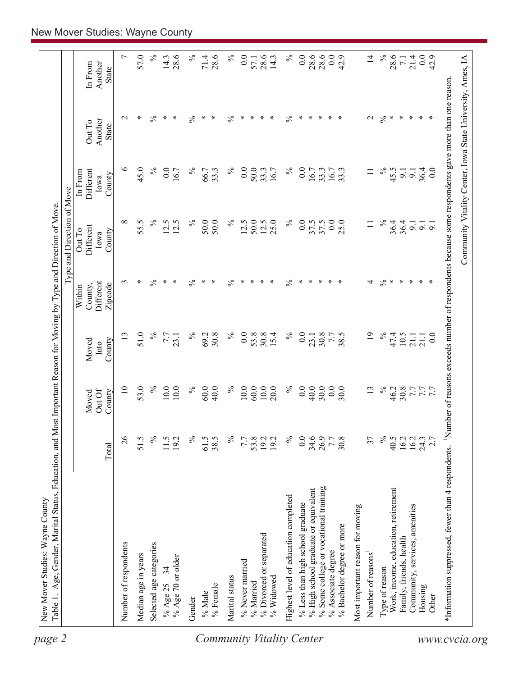| 28.6<br>28.6<br>$\%$<br>0.0<br>28.6<br>$\%$<br>0.0<br>28.6<br>0.0<br>$\overline{4}$<br>$\%$<br>0.0<br>14.3<br>42.9<br>28.6<br>42.9<br>14.3<br>21.4<br>$\overline{7}$ .<br>57.1<br>Another<br>In From<br>State<br>*Information suppressed, fewer than 4 respondents. <sup>1</sup> Number of reasons exceeds number of respondents because some respondents gave more than one reason<br>$\frac{5}{6}$<br>$\ast$<br>$\%$<br>$\ast$<br>∗<br>$\%$<br>$\%$<br>$\ast$<br>∗<br>$\ast$<br>$\ast$<br>$\%$<br>$\ast$<br>$\ast$<br>$\ast$<br>$\ast$<br>$\mathbf 2$<br>$\ast$<br>$\ast$<br>$\mathbf{\sim}$<br>$\ast$<br>∗<br>$\ast$<br>$\ast$<br>$\ast$<br>∗<br>Another<br>Out To<br><b>State</b><br>$\circ$<br>$\%$<br>45.0<br>$\%$<br>0.0<br>$\%$<br>$\%$<br>0.0<br>45.5<br>$\%$<br>$\overline{0}$ .<br>50.0<br>16.7<br>66.7<br>33.3<br>16.7<br>33.3<br>36.4<br>33.3<br>16.7<br>33.3<br>16.7<br>$\equiv$<br>0.0<br>Different<br>$\overline{9}$ .<br>$\overline{9}$ .<br>In From<br>County<br>Iowa<br>$\%$<br>$\%$<br>${}^{\circ}$<br>$\%$<br>$\%$<br>50.0<br>50.0<br>12.5<br>25.0<br>0.0<br>0.0<br>25.0<br>$\%$<br>55.5<br>12.5<br>12.5<br>50.0<br>12.5<br>37.5<br>37.5<br>36.4<br>36.4<br>$\equiv$<br>9.1<br>$\overline{5}$<br>$\overline{9}$ .<br>Different<br>Out To<br>County<br>Iowa<br>$\frac{5}{6}$<br>$\ast$<br>$\%$<br>$\frac{5}{6}$<br>$\%$<br>$\ast$<br>$\ast$<br>$\ast$<br>$\frac{5}{6}$<br>$\ast$<br>$\ast$<br>∗<br>∗<br>$\ast$<br>∗<br>$\ast$<br>$\ast$<br>∗<br>4<br>$\ast$<br>∗<br>3<br>∗<br>∗<br>∗<br>∗<br>Different<br>Zipcode<br>County,<br>Within<br>51.0<br>$\%$<br>$\%$<br>$\overline{0.0}$<br>$\overline{19}$<br>$\%$<br>$\%$<br>$\%$<br>0.0<br>53.8<br>30.8<br>47.4<br>10.5<br>13<br>69.2<br>30.8<br>30.8<br>15.4<br>7.7<br>38.5<br>7.7<br>23.1<br>$\overline{0.0}$<br>21.1<br>21.1<br>23.1<br>Moved<br>County<br>Into<br>53.0<br>$\%$<br>$\%$<br>$\%$<br>$\%$<br>$\%$<br>$\overline{10}$<br>10.0<br>$10.0\,$<br>60.0<br>40.0<br>60.0<br>10.0<br>20.0<br>$\overline{0.0}$<br>40.0<br>0.0<br>30.0<br>13<br>46.2<br>30.8<br>10.0<br>30.0<br>7.7<br>7.7<br>7.7<br>Out Of<br>County<br>Moved<br>$\delta$<br>$\frac{5}{6}$<br>$\%$<br>$\%$<br>$\%$<br>$40.5$<br>16.2<br>51.5<br>61.5<br>℅<br>53.8<br>0.0<br>34.6<br>26.9<br>30.8<br>37<br>$16.2$<br>$24.3$<br>$2.7$<br>11.5<br>19.2<br>38.5<br>19.2<br>$7.7\,$<br>7.7<br>Total<br>% Some college or vocational training<br>Work, income, education, retirement<br>% High school graduate or equivalent<br>Highest level of education completed<br>% Less than high school graduate<br>Community, services, amenities<br>Most important reason for moving<br>% Bachelor degree or more<br>% Divorced or separated<br>Family, friends, health<br>Number of respondents<br>Selected age categories<br>% Associate degree<br>Number of reasons <sup>1</sup><br>Median age in years<br>% Age 70 or older<br>% Never married<br>% Age $25 - 34$<br>Type of reason<br>Marital status<br>$%$ Widowed<br>% Married<br>% Female<br>Housing<br>% Male<br>Other<br>Gender |  |  | Type and Direction of Move |  |                |
|-----------------------------------------------------------------------------------------------------------------------------------------------------------------------------------------------------------------------------------------------------------------------------------------------------------------------------------------------------------------------------------------------------------------------------------------------------------------------------------------------------------------------------------------------------------------------------------------------------------------------------------------------------------------------------------------------------------------------------------------------------------------------------------------------------------------------------------------------------------------------------------------------------------------------------------------------------------------------------------------------------------------------------------------------------------------------------------------------------------------------------------------------------------------------------------------------------------------------------------------------------------------------------------------------------------------------------------------------------------------------------------------------------------------------------------------------------------------------------------------------------------------------------------------------------------------------------------------------------------------------------------------------------------------------------------------------------------------------------------------------------------------------------------------------------------------------------------------------------------------------------------------------------------------------------------------------------------------------------------------------------------------------------------------------------------------------------------------------------------------------------------------------------------------------------------------------------------------------------------------------------------------------------------------------------------------------------------------------------------------------------------------------------------------------------------------------------------------------------------------------------------------------------------------------------------------------------------------------------------------------------------------------------------------------------------------------------------------------------------------------------------------------------------------------------------------------------------------------------------------------------------------------------------------------------------------------------------------------------------------------------------------------|--|--|----------------------------|--|----------------|
|                                                                                                                                                                                                                                                                                                                                                                                                                                                                                                                                                                                                                                                                                                                                                                                                                                                                                                                                                                                                                                                                                                                                                                                                                                                                                                                                                                                                                                                                                                                                                                                                                                                                                                                                                                                                                                                                                                                                                                                                                                                                                                                                                                                                                                                                                                                                                                                                                                                                                                                                                                                                                                                                                                                                                                                                                                                                                                                                                                                                                       |  |  |                            |  |                |
|                                                                                                                                                                                                                                                                                                                                                                                                                                                                                                                                                                                                                                                                                                                                                                                                                                                                                                                                                                                                                                                                                                                                                                                                                                                                                                                                                                                                                                                                                                                                                                                                                                                                                                                                                                                                                                                                                                                                                                                                                                                                                                                                                                                                                                                                                                                                                                                                                                                                                                                                                                                                                                                                                                                                                                                                                                                                                                                                                                                                                       |  |  |                            |  | $\overline{ }$ |
|                                                                                                                                                                                                                                                                                                                                                                                                                                                                                                                                                                                                                                                                                                                                                                                                                                                                                                                                                                                                                                                                                                                                                                                                                                                                                                                                                                                                                                                                                                                                                                                                                                                                                                                                                                                                                                                                                                                                                                                                                                                                                                                                                                                                                                                                                                                                                                                                                                                                                                                                                                                                                                                                                                                                                                                                                                                                                                                                                                                                                       |  |  |                            |  | 57.0           |
|                                                                                                                                                                                                                                                                                                                                                                                                                                                                                                                                                                                                                                                                                                                                                                                                                                                                                                                                                                                                                                                                                                                                                                                                                                                                                                                                                                                                                                                                                                                                                                                                                                                                                                                                                                                                                                                                                                                                                                                                                                                                                                                                                                                                                                                                                                                                                                                                                                                                                                                                                                                                                                                                                                                                                                                                                                                                                                                                                                                                                       |  |  |                            |  | $\%$           |
|                                                                                                                                                                                                                                                                                                                                                                                                                                                                                                                                                                                                                                                                                                                                                                                                                                                                                                                                                                                                                                                                                                                                                                                                                                                                                                                                                                                                                                                                                                                                                                                                                                                                                                                                                                                                                                                                                                                                                                                                                                                                                                                                                                                                                                                                                                                                                                                                                                                                                                                                                                                                                                                                                                                                                                                                                                                                                                                                                                                                                       |  |  |                            |  |                |
|                                                                                                                                                                                                                                                                                                                                                                                                                                                                                                                                                                                                                                                                                                                                                                                                                                                                                                                                                                                                                                                                                                                                                                                                                                                                                                                                                                                                                                                                                                                                                                                                                                                                                                                                                                                                                                                                                                                                                                                                                                                                                                                                                                                                                                                                                                                                                                                                                                                                                                                                                                                                                                                                                                                                                                                                                                                                                                                                                                                                                       |  |  |                            |  | 28.6           |
|                                                                                                                                                                                                                                                                                                                                                                                                                                                                                                                                                                                                                                                                                                                                                                                                                                                                                                                                                                                                                                                                                                                                                                                                                                                                                                                                                                                                                                                                                                                                                                                                                                                                                                                                                                                                                                                                                                                                                                                                                                                                                                                                                                                                                                                                                                                                                                                                                                                                                                                                                                                                                                                                                                                                                                                                                                                                                                                                                                                                                       |  |  |                            |  | $\%$           |
|                                                                                                                                                                                                                                                                                                                                                                                                                                                                                                                                                                                                                                                                                                                                                                                                                                                                                                                                                                                                                                                                                                                                                                                                                                                                                                                                                                                                                                                                                                                                                                                                                                                                                                                                                                                                                                                                                                                                                                                                                                                                                                                                                                                                                                                                                                                                                                                                                                                                                                                                                                                                                                                                                                                                                                                                                                                                                                                                                                                                                       |  |  |                            |  | 71.4           |
|                                                                                                                                                                                                                                                                                                                                                                                                                                                                                                                                                                                                                                                                                                                                                                                                                                                                                                                                                                                                                                                                                                                                                                                                                                                                                                                                                                                                                                                                                                                                                                                                                                                                                                                                                                                                                                                                                                                                                                                                                                                                                                                                                                                                                                                                                                                                                                                                                                                                                                                                                                                                                                                                                                                                                                                                                                                                                                                                                                                                                       |  |  |                            |  |                |
|                                                                                                                                                                                                                                                                                                                                                                                                                                                                                                                                                                                                                                                                                                                                                                                                                                                                                                                                                                                                                                                                                                                                                                                                                                                                                                                                                                                                                                                                                                                                                                                                                                                                                                                                                                                                                                                                                                                                                                                                                                                                                                                                                                                                                                                                                                                                                                                                                                                                                                                                                                                                                                                                                                                                                                                                                                                                                                                                                                                                                       |  |  |                            |  |                |
|                                                                                                                                                                                                                                                                                                                                                                                                                                                                                                                                                                                                                                                                                                                                                                                                                                                                                                                                                                                                                                                                                                                                                                                                                                                                                                                                                                                                                                                                                                                                                                                                                                                                                                                                                                                                                                                                                                                                                                                                                                                                                                                                                                                                                                                                                                                                                                                                                                                                                                                                                                                                                                                                                                                                                                                                                                                                                                                                                                                                                       |  |  |                            |  |                |
|                                                                                                                                                                                                                                                                                                                                                                                                                                                                                                                                                                                                                                                                                                                                                                                                                                                                                                                                                                                                                                                                                                                                                                                                                                                                                                                                                                                                                                                                                                                                                                                                                                                                                                                                                                                                                                                                                                                                                                                                                                                                                                                                                                                                                                                                                                                                                                                                                                                                                                                                                                                                                                                                                                                                                                                                                                                                                                                                                                                                                       |  |  |                            |  |                |
|                                                                                                                                                                                                                                                                                                                                                                                                                                                                                                                                                                                                                                                                                                                                                                                                                                                                                                                                                                                                                                                                                                                                                                                                                                                                                                                                                                                                                                                                                                                                                                                                                                                                                                                                                                                                                                                                                                                                                                                                                                                                                                                                                                                                                                                                                                                                                                                                                                                                                                                                                                                                                                                                                                                                                                                                                                                                                                                                                                                                                       |  |  |                            |  |                |
|                                                                                                                                                                                                                                                                                                                                                                                                                                                                                                                                                                                                                                                                                                                                                                                                                                                                                                                                                                                                                                                                                                                                                                                                                                                                                                                                                                                                                                                                                                                                                                                                                                                                                                                                                                                                                                                                                                                                                                                                                                                                                                                                                                                                                                                                                                                                                                                                                                                                                                                                                                                                                                                                                                                                                                                                                                                                                                                                                                                                                       |  |  |                            |  |                |
|                                                                                                                                                                                                                                                                                                                                                                                                                                                                                                                                                                                                                                                                                                                                                                                                                                                                                                                                                                                                                                                                                                                                                                                                                                                                                                                                                                                                                                                                                                                                                                                                                                                                                                                                                                                                                                                                                                                                                                                                                                                                                                                                                                                                                                                                                                                                                                                                                                                                                                                                                                                                                                                                                                                                                                                                                                                                                                                                                                                                                       |  |  |                            |  |                |
|                                                                                                                                                                                                                                                                                                                                                                                                                                                                                                                                                                                                                                                                                                                                                                                                                                                                                                                                                                                                                                                                                                                                                                                                                                                                                                                                                                                                                                                                                                                                                                                                                                                                                                                                                                                                                                                                                                                                                                                                                                                                                                                                                                                                                                                                                                                                                                                                                                                                                                                                                                                                                                                                                                                                                                                                                                                                                                                                                                                                                       |  |  |                            |  |                |
|                                                                                                                                                                                                                                                                                                                                                                                                                                                                                                                                                                                                                                                                                                                                                                                                                                                                                                                                                                                                                                                                                                                                                                                                                                                                                                                                                                                                                                                                                                                                                                                                                                                                                                                                                                                                                                                                                                                                                                                                                                                                                                                                                                                                                                                                                                                                                                                                                                                                                                                                                                                                                                                                                                                                                                                                                                                                                                                                                                                                                       |  |  |                            |  |                |
|                                                                                                                                                                                                                                                                                                                                                                                                                                                                                                                                                                                                                                                                                                                                                                                                                                                                                                                                                                                                                                                                                                                                                                                                                                                                                                                                                                                                                                                                                                                                                                                                                                                                                                                                                                                                                                                                                                                                                                                                                                                                                                                                                                                                                                                                                                                                                                                                                                                                                                                                                                                                                                                                                                                                                                                                                                                                                                                                                                                                                       |  |  |                            |  |                |
|                                                                                                                                                                                                                                                                                                                                                                                                                                                                                                                                                                                                                                                                                                                                                                                                                                                                                                                                                                                                                                                                                                                                                                                                                                                                                                                                                                                                                                                                                                                                                                                                                                                                                                                                                                                                                                                                                                                                                                                                                                                                                                                                                                                                                                                                                                                                                                                                                                                                                                                                                                                                                                                                                                                                                                                                                                                                                                                                                                                                                       |  |  |                            |  |                |
|                                                                                                                                                                                                                                                                                                                                                                                                                                                                                                                                                                                                                                                                                                                                                                                                                                                                                                                                                                                                                                                                                                                                                                                                                                                                                                                                                                                                                                                                                                                                                                                                                                                                                                                                                                                                                                                                                                                                                                                                                                                                                                                                                                                                                                                                                                                                                                                                                                                                                                                                                                                                                                                                                                                                                                                                                                                                                                                                                                                                                       |  |  |                            |  |                |
|                                                                                                                                                                                                                                                                                                                                                                                                                                                                                                                                                                                                                                                                                                                                                                                                                                                                                                                                                                                                                                                                                                                                                                                                                                                                                                                                                                                                                                                                                                                                                                                                                                                                                                                                                                                                                                                                                                                                                                                                                                                                                                                                                                                                                                                                                                                                                                                                                                                                                                                                                                                                                                                                                                                                                                                                                                                                                                                                                                                                                       |  |  |                            |  |                |
|                                                                                                                                                                                                                                                                                                                                                                                                                                                                                                                                                                                                                                                                                                                                                                                                                                                                                                                                                                                                                                                                                                                                                                                                                                                                                                                                                                                                                                                                                                                                                                                                                                                                                                                                                                                                                                                                                                                                                                                                                                                                                                                                                                                                                                                                                                                                                                                                                                                                                                                                                                                                                                                                                                                                                                                                                                                                                                                                                                                                                       |  |  |                            |  |                |
|                                                                                                                                                                                                                                                                                                                                                                                                                                                                                                                                                                                                                                                                                                                                                                                                                                                                                                                                                                                                                                                                                                                                                                                                                                                                                                                                                                                                                                                                                                                                                                                                                                                                                                                                                                                                                                                                                                                                                                                                                                                                                                                                                                                                                                                                                                                                                                                                                                                                                                                                                                                                                                                                                                                                                                                                                                                                                                                                                                                                                       |  |  |                            |  |                |
|                                                                                                                                                                                                                                                                                                                                                                                                                                                                                                                                                                                                                                                                                                                                                                                                                                                                                                                                                                                                                                                                                                                                                                                                                                                                                                                                                                                                                                                                                                                                                                                                                                                                                                                                                                                                                                                                                                                                                                                                                                                                                                                                                                                                                                                                                                                                                                                                                                                                                                                                                                                                                                                                                                                                                                                                                                                                                                                                                                                                                       |  |  |                            |  |                |
|                                                                                                                                                                                                                                                                                                                                                                                                                                                                                                                                                                                                                                                                                                                                                                                                                                                                                                                                                                                                                                                                                                                                                                                                                                                                                                                                                                                                                                                                                                                                                                                                                                                                                                                                                                                                                                                                                                                                                                                                                                                                                                                                                                                                                                                                                                                                                                                                                                                                                                                                                                                                                                                                                                                                                                                                                                                                                                                                                                                                                       |  |  |                            |  |                |
|                                                                                                                                                                                                                                                                                                                                                                                                                                                                                                                                                                                                                                                                                                                                                                                                                                                                                                                                                                                                                                                                                                                                                                                                                                                                                                                                                                                                                                                                                                                                                                                                                                                                                                                                                                                                                                                                                                                                                                                                                                                                                                                                                                                                                                                                                                                                                                                                                                                                                                                                                                                                                                                                                                                                                                                                                                                                                                                                                                                                                       |  |  |                            |  |                |
|                                                                                                                                                                                                                                                                                                                                                                                                                                                                                                                                                                                                                                                                                                                                                                                                                                                                                                                                                                                                                                                                                                                                                                                                                                                                                                                                                                                                                                                                                                                                                                                                                                                                                                                                                                                                                                                                                                                                                                                                                                                                                                                                                                                                                                                                                                                                                                                                                                                                                                                                                                                                                                                                                                                                                                                                                                                                                                                                                                                                                       |  |  |                            |  |                |
|                                                                                                                                                                                                                                                                                                                                                                                                                                                                                                                                                                                                                                                                                                                                                                                                                                                                                                                                                                                                                                                                                                                                                                                                                                                                                                                                                                                                                                                                                                                                                                                                                                                                                                                                                                                                                                                                                                                                                                                                                                                                                                                                                                                                                                                                                                                                                                                                                                                                                                                                                                                                                                                                                                                                                                                                                                                                                                                                                                                                                       |  |  |                            |  |                |
|                                                                                                                                                                                                                                                                                                                                                                                                                                                                                                                                                                                                                                                                                                                                                                                                                                                                                                                                                                                                                                                                                                                                                                                                                                                                                                                                                                                                                                                                                                                                                                                                                                                                                                                                                                                                                                                                                                                                                                                                                                                                                                                                                                                                                                                                                                                                                                                                                                                                                                                                                                                                                                                                                                                                                                                                                                                                                                                                                                                                                       |  |  |                            |  |                |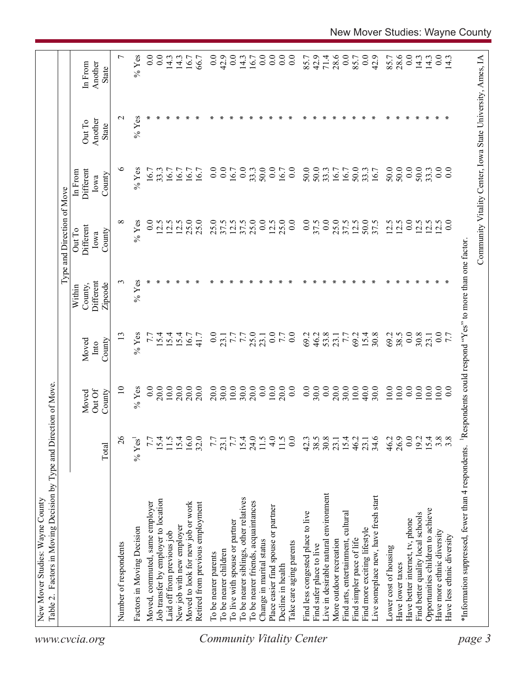|                                  |                                                    |                            |                           |                         |                                                         | Type and Direction of Move            |                                                            |                            |                                    |
|----------------------------------|----------------------------------------------------|----------------------------|---------------------------|-------------------------|---------------------------------------------------------|---------------------------------------|------------------------------------------------------------|----------------------------|------------------------------------|
| www.cvcia.org                    |                                                    | Total                      | Out Of<br>Moved<br>County | County<br>Moved<br>Into | Different<br>Zipcode<br>County,<br>Within               | Different<br>Out To<br>County<br>Iowa | Different<br>In From<br>County<br>Iowa                     | Another<br>Out To<br>State | Another<br>In From<br><b>State</b> |
|                                  | Number of respondents                              | $\delta$                   | $\Xi$                     | 13                      | $\epsilon$                                              | $\infty$                              | ७                                                          | $\mathbf{\sim}$            | $\overline{ }$                     |
|                                  | Factors in Moving Decision                         | $\%$ Yes <sup>1</sup>      | $%$ Yes                   | $\%$ Yes                | $%$ Yes                                                 | $%$ Yes                               | $%$ Yes                                                    | $%$ Yes                    | $%$ Yes                            |
|                                  | Moved, commuted, same employer                     | 7.7                        | 0.0                       | 7.7                     |                                                         | 0.0                                   | 16.7                                                       |                            | 0.0                                |
|                                  | Job transfer by employer to location               | 15.4                       | 20.0                      | 5.4                     |                                                         | $\overline{2.5}$                      | 33.3                                                       |                            | 0.0                                |
|                                  | Laid off from previous job                         | 11.5                       | 10.0                      | 15.4                    |                                                         | 12.5                                  | 16.7                                                       |                            | 14.3                               |
|                                  | New job with new employer                          | 15.4                       | 20.0                      | 15.4                    |                                                         | 12.5                                  | 16.7                                                       |                            | 14.3                               |
|                                  | Moved to look for new job or work                  | 16.0<br>32.0               | 20.0                      | 16.7                    |                                                         | 25.0                                  | 16.7                                                       |                            | 16.7                               |
|                                  | Retired from previous employment                   |                            | 20.0                      | 41.7                    |                                                         | 25.0                                  | 167                                                        |                            | 66.7                               |
|                                  | To be nearer parents                               | 7.7                        | 20.0                      | 0.0                     |                                                         | 25.0                                  | $\overline{0}$                                             |                            | 0.0                                |
|                                  | To be nearer children                              | 23.1                       | 30.0                      | 23.1                    |                                                         | 37.5                                  | 0.0                                                        |                            | 42.9                               |
|                                  | To live with spouse or partner                     | $7.7\,$                    | 10.0                      | 7.7                     |                                                         | 12.5                                  | 16.7                                                       |                            | 0.0                                |
|                                  | To be nearer siblings, other relatives             | $15.4$<br>24.0             | 30.0                      | 7.7                     |                                                         | 37.5                                  | 0.0                                                        |                            | 14.3                               |
|                                  | To be nearer friends, acquaintances                |                            | 20.0                      | 25.0                    |                                                         | 25.0                                  | 33.3                                                       |                            | 16.7                               |
|                                  | Change in marital status                           | 11.5                       | 0.0                       | 23.1                    |                                                         | 0.0                                   | 50.0                                                       |                            | $\overline{0.0}$                   |
|                                  | Place easier find spouse or partner                | 4.0                        | $10.0\,$                  | 0.0                     |                                                         | 12.5                                  | 0.0                                                        |                            | $\overline{0}$ .                   |
|                                  | Decline in health                                  | $^{11.5}_{0.0}$            | 20.0                      | 7.7                     |                                                         | 25.0                                  | 16.7                                                       |                            | 0.0                                |
| <b>Community Vitality Center</b> | Take care aging parents                            |                            | 0.0                       | $\overline{0.0}$        |                                                         | 0.0                                   | 0.0                                                        |                            | 0.0                                |
|                                  | Find less congested place to live                  |                            | 0.0                       | 69.2                    |                                                         | $\overline{0.0}$                      | 50.0                                                       |                            | 85.7                               |
|                                  | Find safer place to live                           | $42.3$<br>38.5             | 30.0                      | 46.2                    |                                                         | 37.5                                  | 50.0                                                       |                            | 42.9                               |
|                                  | Live in desirable natural environment              | $30.8$<br>$23.1$<br>$15.4$ | 0.0                       | 53.8                    |                                                         | 0.0                                   | 33.3                                                       |                            | 71.4                               |
|                                  | More outdoor recreation                            |                            | 20.0                      | 23.1                    |                                                         | 25.0                                  | 16.7                                                       |                            | 28.6                               |
|                                  | cultura<br>Find arts, entertainment,               |                            | 30.0                      | 7.7                     |                                                         | 37.5                                  | 16.7                                                       |                            | 0.0                                |
|                                  | Find simpler pace of life                          | 46.2                       | $10.0\,$                  | 69.2                    |                                                         | 12.5                                  | 50.0                                                       |                            | 85.7                               |
|                                  | Find more exciting lifestyle                       | 23.1                       | 40.0                      | 15.4                    |                                                         | 50.0                                  | 33.3                                                       |                            | 0.0                                |
|                                  | Live someplace new, have fresh start               | 34.6                       | 30.0                      | 30.8                    |                                                         | 37.5                                  | 16.7                                                       |                            | 42.9                               |
|                                  | Lower cost of housing                              | 46.2                       | 10.0                      | 69.2                    |                                                         | 12.5                                  | 50.0                                                       |                            | 85.7                               |
|                                  | Have lower taxes                                   | 26.9                       | 10.0                      | 38.5                    |                                                         | 12.5                                  | 50.0                                                       |                            | 28.6                               |
|                                  | Have better internet, tv, phone                    |                            | 0.0                       | 0.0                     |                                                         | 0.0                                   | 0.0                                                        |                            | 0.0                                |
|                                  | Find better quality local schools                  | $0.2$<br>$15.4$            | 10.0                      | 30.8                    |                                                         | 12.5                                  | 50.0                                                       |                            | 14.3                               |
|                                  | Opportunities children to achieve                  |                            | 10.0                      | 23.1                    |                                                         | 12.5                                  | 33.3                                                       |                            | 14.3                               |
|                                  | Have more ethnic diversity                         | $3.\overline{8}$           | 10.0                      | 0.0                     |                                                         | 12.5                                  | 0.0                                                        |                            | 0.0                                |
|                                  | Have less ethnic diversity                         |                            | 0.0                       | 7.7                     |                                                         | 0.0                                   | 0.0                                                        |                            | $\frac{14.3}{ }$                   |
| page 3                           | *Information suppressed, fewer than 4 respondents. |                            |                           |                         | Respondents could respond "Yes" to more than one factor |                                       |                                                            |                            |                                    |
|                                  |                                                    |                            |                           |                         |                                                         |                                       | Community Vitality Center, Iowa State University, Ames, IA |                            |                                    |
|                                  |                                                    |                            |                           |                         |                                                         |                                       |                                                            |                            |                                    |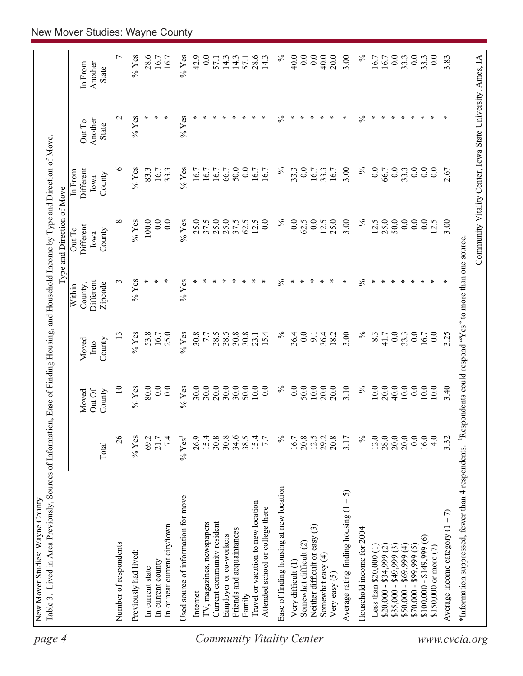| page 4                           | Table 3. Lived in Area Previously, Sources of Information, Ease of Finding Housing, and Household Income by Type and Direction of Move<br>New Mover Studies: Wayne County |                    |                 |               |                                |                                                            |                              |                   |                    |
|----------------------------------|---------------------------------------------------------------------------------------------------------------------------------------------------------------------------|--------------------|-----------------|---------------|--------------------------------|------------------------------------------------------------|------------------------------|-------------------|--------------------|
|                                  |                                                                                                                                                                           |                    |                 |               |                                | Type and Direction of Move                                 |                              |                   |                    |
|                                  |                                                                                                                                                                           |                    | Out Of<br>Moved | Moved<br>Into | Different<br>County,<br>Within | <b>Different</b><br>Out To<br>Iowa                         | Different<br>In From<br>Iowa | Another<br>Out To | Another<br>In From |
|                                  |                                                                                                                                                                           | Total              | County          | County        | Zipcode                        | County                                                     | County                       | <b>State</b>      | State              |
|                                  | Number of respondents                                                                                                                                                     | 26                 | $\supseteq$     | 13            | 3                              | ${}^{\circ}$                                               | ७                            | $\mathbf{\sim}$   | $\overline{ }$     |
|                                  | Previously had lived:                                                                                                                                                     | $%$ Yes            | $%$ Yes         | $%$ Yes       | $%$ Yes                        | $%$ Yes                                                    | $%$ Yes                      | $%$ Yes           | $%$ Yes            |
|                                  | In current state                                                                                                                                                          | 69.2               | 80.0            | 53.8          |                                | 100.0                                                      | 83.3                         | ∗                 | 28.6               |
|                                  | In current county                                                                                                                                                         | 21.7               | 0.0             | 16.7          |                                | 0.0                                                        | 16.7                         | ∗                 | 16.7               |
|                                  | In or near current city/town                                                                                                                                              | 17.4               | 0.0             | 25.0          | ∗                              | 0.0                                                        | 33.3                         | ∗                 | 16.7               |
|                                  | Used source of information for move                                                                                                                                       | $% \mathrm{Yes}^1$ | $%$ Yes         | $%$ Yes       | $%$ Yes                        | $%$ Yes                                                    | $%$ Yes                      | $%$ Yes           | $%$ Yes            |
|                                  | Internet                                                                                                                                                                  | 26.9               | 30.0            | 30.8          |                                | 25.0                                                       | 16.7                         | ∗                 | 42.9               |
|                                  | TV, magazines, newspapers                                                                                                                                                 | 15.4               | 30.0            | 7.7           |                                | 37.5                                                       | 16.7                         |                   | 0.0                |
|                                  | Current community resident                                                                                                                                                | 30.8               | 20.0            | 38.5          |                                | 25.0                                                       | 16.7                         | ∗                 | 57.1               |
|                                  | Employer or co-workers                                                                                                                                                    | 30.8               | 30.0            | 38.5          |                                | 25.0                                                       | 66.7                         | ∗                 | 14.3               |
|                                  | Friends and acquaintances                                                                                                                                                 | 34.6               | 30.0            | 30.8          |                                | 37.5                                                       | 50.0                         | ∗                 | 14.3               |
|                                  | Family                                                                                                                                                                    | 38.5               | 50.0            | 30.8          |                                | 62.5                                                       | 0.0                          |                   | 57.1               |
|                                  | Travel or vacation to new location                                                                                                                                        | 15.4               | 10.0            | 23.1          |                                | 12.5                                                       | 16.7                         |                   | 28.6               |
|                                  | Attended school or college there                                                                                                                                          | 7.7                | 0.0             | 15.4          |                                | 0.0                                                        | 16.7                         |                   | 14.3               |
| <b>Community Vitality Center</b> | Ease of finding housing at new location                                                                                                                                   | $\%$               | $\%$            | $\%$          | $\lesssim$                     | $\%$                                                       | $\%$                         | $\%$              | $\%$               |
|                                  | Very difficult (1)                                                                                                                                                        | 16.7               | 0.0             | 36.4          | ∗                              | 0.0                                                        | 33.3                         | ∗                 | 40.0               |
|                                  | Somewhat difficult (2)                                                                                                                                                    | 20.8               | 50.0            | 0.0           |                                | 62.5                                                       | 0.0                          |                   | 0.0                |
|                                  | Neither difficult or easy $(3)$                                                                                                                                           | 12.5               | $10.0$          | 9.1           | ∗                              | 0.0                                                        | 16.7                         | ∗                 | 0.0                |
|                                  | Somewhat easy (4)                                                                                                                                                         | 29.2               | 20.0            | 36.4          |                                | 12.5                                                       | 33.3                         | ∗                 | 40.0               |
|                                  | Very easy (5)                                                                                                                                                             | 20.8               | 20.0            | 18.2          |                                | 25.0                                                       | 16.7                         | ∗                 | 20.0               |
|                                  | 5<br>Average rating finding housing (1                                                                                                                                    | 3.17               | 3.10            | 3.00          |                                | 3.00                                                       | 3.00                         | ∗                 | 3.00               |
|                                  | Household income for 2004                                                                                                                                                 | $\%$               | $\%$            | $\%$          | $\%$                           | $\%$                                                       | $\%$                         | $\%$              | $\%$               |
|                                  | Less than \$20,000 (1                                                                                                                                                     | 12.0               | 10.0            | 8.3           | ∗                              | 12.5                                                       | 0.0                          | ∗                 | 16.7               |
|                                  | $$20,000 - $34,999 (2)$                                                                                                                                                   | 28.0               | 20.0            | 41.7          |                                | 25.0                                                       | 66.7                         | ∗                 | 16.7               |
|                                  | $$35,000 - $49,999(3)$                                                                                                                                                    | 20.0               | 40.0            | 0.0           |                                | 50.0                                                       | $\overline{0.0}$             | ∗                 | 0.0                |
|                                  | $$50,000 - $69,999(4)$                                                                                                                                                    | 20.0               | 10.0            | 33.3          |                                | 0.0                                                        | 33.3                         | ∗                 | 33.3               |
|                                  | $$70,000 - $99,999(5)$                                                                                                                                                    | 0.0                | 0.0             | 0.0           |                                | 0.0                                                        | 0.0                          | ∗                 | 0.0                |
|                                  | $\circledcirc$<br>$$100,000 - $149,999$                                                                                                                                   | 16.0               | 10.0            | 16.7          |                                | $\overline{0.0}$                                           | 0.0                          | ∗                 | 33.3               |
|                                  | \$150,000 or more $(7)$                                                                                                                                                   | 4.0                | $10.0$          | 0.0           |                                | 12.5                                                       | 0.0                          | ×                 | 0.0                |
|                                  | Average income category $(1 - 7)$                                                                                                                                         | 3.32               | 3.40            | 3.25          |                                | 3.00                                                       | 2.67                         | ∗                 | 3.83               |
| www.cvcia.org                    | *Information suppressed, fewer than 4 respondents. <sup>1</sup> Respondents could respond "Yes" to more than one source                                                   |                    |                 |               |                                |                                                            |                              |                   |                    |
|                                  |                                                                                                                                                                           |                    |                 |               |                                | Community Vitality Center, Iowa State University, Ames, IA |                              |                   |                    |
|                                  |                                                                                                                                                                           |                    |                 |               |                                |                                                            |                              |                   |                    |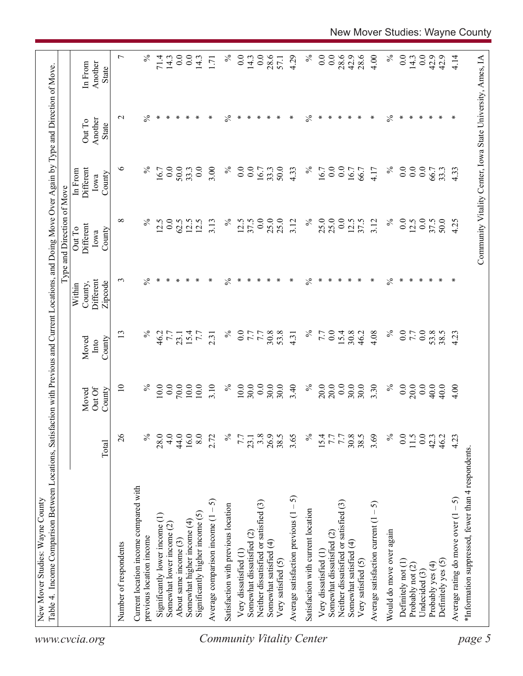| $\%$<br>28.6<br>0.0<br>$\%$<br>$\overline{0.0}$<br>28.6<br>$\overline{0.0}$<br>$\overline{0}$ .<br>28.6<br>42.9<br>4.00<br>$\%$<br>$\overline{0.0}$<br>42.9<br>$71.4$<br>14.3<br>14.3<br>14.3<br>0.0<br>14.3<br>$\overline{0}$ .<br>57.1<br>$\overline{1}$<br>In From<br>Another<br>State<br>$\%$<br>$\%$<br>$\ast$<br>∗<br>∗<br>$\%$<br>∗<br>$\frac{5}{6}$<br>∗<br>∗<br>$\ast$<br>∗<br>∗<br>∗<br>∗<br>$\ast$<br>∗<br>$\mathbf{\sim}$<br>∗<br>∗<br>∗<br>∗<br>∗<br>∗<br>∗<br>∗<br>∗<br>∗<br>∗<br>Another<br>Out To<br><b>State</b><br>$\circ$<br>3.00<br>$\%$<br>$\%$<br>$\%$<br>0.0<br>$\%$<br>$\overline{0.0}$<br>$\overline{0.0}$<br>0.0<br>0.0<br>$\overline{0.0}$<br>0.0<br>50.0<br>33.3<br>$\frac{0}{2}$<br>50.0<br>4.33<br>16.7<br>$\ddot{0}$ .<br>4.33<br>16.7<br>33.3<br>16.7<br>4.17<br>33.3<br>Different<br>66.7<br>66.7<br>In From<br>16.7<br>County<br>Iowa<br>25.0<br>25.0<br>0.0<br>50.0<br>${}^{\circ}$<br>$\%$<br>0.0<br>$\%$<br>12.5<br>0.0<br>25.0<br>$\%$<br>37.5<br>3.12<br>$\%$<br>$\overline{0.0}$<br>12.5<br>0.0<br>37.5<br>4.25<br>12.5<br>12.5<br>12.5<br>3.13<br>37.5<br>25.0<br>3.12<br>12.5<br>62.5<br>Different<br>Out To<br>County<br>Iowa<br>$\frac{5}{6}$<br>$\%$<br>$\ast$<br>$\%$<br>$\%$<br>∗<br>∗<br>∗<br>∗<br>∗<br>∗<br>∗<br>∗<br>∗<br>∗<br>∗<br>∗<br>∗<br>∗<br>∗<br>∗<br>∗<br>∗<br>∗<br>Different<br>$\epsilon$<br>∗<br>∗<br>×<br>County,<br>Zipcode<br>Within<br>$\%$<br>$\%$<br>13<br>$\%$<br>$\overline{0.0}$<br>53.8<br>$\%$<br>4.08<br>0.0<br>$0.0\,$<br>53.8<br>30.8<br>7.7<br>0.0<br>15.4<br>30.8<br>46.2<br>38.5<br>4.23<br>46.2<br>15.4<br>7.7<br>7.7<br>$7.7\,$<br>7.7<br>7.7<br>4.31<br>23.1<br>2.31<br>County<br>Moved<br>Into<br>0.0<br>$\%$<br>10.0<br>0.0<br>70.0<br>10.0<br>10.0<br>3.10<br>$\%$<br>10.0<br>30.0<br>0.0<br>30.0<br>30.0<br>$\%$<br>20.0<br>20.0<br>30.0<br>30.0<br>$\%$<br>0.0<br>20.0<br>0.0<br>40.0<br>$\overline{10}$<br>3.40<br>3.30<br>40.0<br>4.00<br>Out Of<br>County<br>Moved<br>$\delta$<br>$\%$<br>4.0<br>44.0<br>16.0<br>$\%$<br>$0.0$<br>42.3<br>28.0<br>8.0<br>2.72<br>$\%$<br>3.8<br>26.9<br>38.5<br>3.65<br>$\%$<br>7.7<br>30.8<br>38.5<br>3.69<br>0.0<br>11.5<br>46.2<br>4.23<br>7.7<br>15.4<br>7.7<br>23.1<br>Total<br>*Information suppressed, fewer than 4 respondents<br>Current location income compared with<br>Average satisfaction previous $(1 - 5)$<br>Average rating do move over $(1 - 5)$<br>Average comparison income $(1 - 5)$<br>Neither dissatisfied or satisfied (3)<br>Neither dissatisfied or satisfied (3)<br>Average satisfaction current $(1 - 5)$<br>Satisfaction with previous location<br>Satisfaction with current location<br>Significantly higher income (5)<br>Significantly lower income (1)<br>Somewhat higher income (4)<br>Somewhat lower income (2)<br>Would do move over again<br>Somewhat dissatisfied (2)<br>Somewhat dissatisfied (2)<br>previous location income<br>About same income (3)<br>Somewhat satisfied (4)<br>Somewhat satisfied (4)<br>Number of respondents<br>Very dissatisfied (1)<br>Very dissatisfied (1<br>Definitely yes (5)<br>Very satisfied (5)<br>Very satisfied (5)<br>Definitely not (1)<br>Probably yes (4)<br>Probably not (2)<br>Undecided (3) | Community Vitality Center, Iowa State University, Ames, IA | Table 4. Income Comparison Between Locations, Satisfaction with Previous and Current Locations, and Doing Move Over Again by Type and Direction of Move. |  |  | Type and Direction of Move |  |                  |
|--------------------------------------------------------------------------------------------------------------------------------------------------------------------------------------------------------------------------------------------------------------------------------------------------------------------------------------------------------------------------------------------------------------------------------------------------------------------------------------------------------------------------------------------------------------------------------------------------------------------------------------------------------------------------------------------------------------------------------------------------------------------------------------------------------------------------------------------------------------------------------------------------------------------------------------------------------------------------------------------------------------------------------------------------------------------------------------------------------------------------------------------------------------------------------------------------------------------------------------------------------------------------------------------------------------------------------------------------------------------------------------------------------------------------------------------------------------------------------------------------------------------------------------------------------------------------------------------------------------------------------------------------------------------------------------------------------------------------------------------------------------------------------------------------------------------------------------------------------------------------------------------------------------------------------------------------------------------------------------------------------------------------------------------------------------------------------------------------------------------------------------------------------------------------------------------------------------------------------------------------------------------------------------------------------------------------------------------------------------------------------------------------------------------------------------------------------------------------------------------------------------------------------------------------------------------------------------------------------------------------------------------------------------------------------------------------------------------------------------------------------------------------------------------------------------------------------------------------------------------------------------------------------------------------------------------------------------------------------------------------------------------------------------------------------------------------------------------------------------------------------------------------------------------------------------------------------|------------------------------------------------------------|----------------------------------------------------------------------------------------------------------------------------------------------------------|--|--|----------------------------|--|------------------|
|                                                                                                                                                                                                                                                                                                                                                                                                                                                                                                                                                                                                                                                                                                                                                                                                                                                                                                                                                                                                                                                                                                                                                                                                                                                                                                                                                                                                                                                                                                                                                                                                                                                                                                                                                                                                                                                                                                                                                                                                                                                                                                                                                                                                                                                                                                                                                                                                                                                                                                                                                                                                                                                                                                                                                                                                                                                                                                                                                                                                                                                                                                                                                                                                        |                                                            |                                                                                                                                                          |  |  |                            |  |                  |
|                                                                                                                                                                                                                                                                                                                                                                                                                                                                                                                                                                                                                                                                                                                                                                                                                                                                                                                                                                                                                                                                                                                                                                                                                                                                                                                                                                                                                                                                                                                                                                                                                                                                                                                                                                                                                                                                                                                                                                                                                                                                                                                                                                                                                                                                                                                                                                                                                                                                                                                                                                                                                                                                                                                                                                                                                                                                                                                                                                                                                                                                                                                                                                                                        |                                                            |                                                                                                                                                          |  |  |                            |  | $\overline{ }$   |
|                                                                                                                                                                                                                                                                                                                                                                                                                                                                                                                                                                                                                                                                                                                                                                                                                                                                                                                                                                                                                                                                                                                                                                                                                                                                                                                                                                                                                                                                                                                                                                                                                                                                                                                                                                                                                                                                                                                                                                                                                                                                                                                                                                                                                                                                                                                                                                                                                                                                                                                                                                                                                                                                                                                                                                                                                                                                                                                                                                                                                                                                                                                                                                                                        |                                                            |                                                                                                                                                          |  |  |                            |  |                  |
|                                                                                                                                                                                                                                                                                                                                                                                                                                                                                                                                                                                                                                                                                                                                                                                                                                                                                                                                                                                                                                                                                                                                                                                                                                                                                                                                                                                                                                                                                                                                                                                                                                                                                                                                                                                                                                                                                                                                                                                                                                                                                                                                                                                                                                                                                                                                                                                                                                                                                                                                                                                                                                                                                                                                                                                                                                                                                                                                                                                                                                                                                                                                                                                                        |                                                            |                                                                                                                                                          |  |  |                            |  | $\%$             |
|                                                                                                                                                                                                                                                                                                                                                                                                                                                                                                                                                                                                                                                                                                                                                                                                                                                                                                                                                                                                                                                                                                                                                                                                                                                                                                                                                                                                                                                                                                                                                                                                                                                                                                                                                                                                                                                                                                                                                                                                                                                                                                                                                                                                                                                                                                                                                                                                                                                                                                                                                                                                                                                                                                                                                                                                                                                                                                                                                                                                                                                                                                                                                                                                        |                                                            |                                                                                                                                                          |  |  |                            |  |                  |
|                                                                                                                                                                                                                                                                                                                                                                                                                                                                                                                                                                                                                                                                                                                                                                                                                                                                                                                                                                                                                                                                                                                                                                                                                                                                                                                                                                                                                                                                                                                                                                                                                                                                                                                                                                                                                                                                                                                                                                                                                                                                                                                                                                                                                                                                                                                                                                                                                                                                                                                                                                                                                                                                                                                                                                                                                                                                                                                                                                                                                                                                                                                                                                                                        |                                                            |                                                                                                                                                          |  |  |                            |  |                  |
|                                                                                                                                                                                                                                                                                                                                                                                                                                                                                                                                                                                                                                                                                                                                                                                                                                                                                                                                                                                                                                                                                                                                                                                                                                                                                                                                                                                                                                                                                                                                                                                                                                                                                                                                                                                                                                                                                                                                                                                                                                                                                                                                                                                                                                                                                                                                                                                                                                                                                                                                                                                                                                                                                                                                                                                                                                                                                                                                                                                                                                                                                                                                                                                                        |                                                            |                                                                                                                                                          |  |  |                            |  | $\overline{0.0}$ |
|                                                                                                                                                                                                                                                                                                                                                                                                                                                                                                                                                                                                                                                                                                                                                                                                                                                                                                                                                                                                                                                                                                                                                                                                                                                                                                                                                                                                                                                                                                                                                                                                                                                                                                                                                                                                                                                                                                                                                                                                                                                                                                                                                                                                                                                                                                                                                                                                                                                                                                                                                                                                                                                                                                                                                                                                                                                                                                                                                                                                                                                                                                                                                                                                        |                                                            |                                                                                                                                                          |  |  |                            |  |                  |
|                                                                                                                                                                                                                                                                                                                                                                                                                                                                                                                                                                                                                                                                                                                                                                                                                                                                                                                                                                                                                                                                                                                                                                                                                                                                                                                                                                                                                                                                                                                                                                                                                                                                                                                                                                                                                                                                                                                                                                                                                                                                                                                                                                                                                                                                                                                                                                                                                                                                                                                                                                                                                                                                                                                                                                                                                                                                                                                                                                                                                                                                                                                                                                                                        |                                                            |                                                                                                                                                          |  |  |                            |  |                  |
|                                                                                                                                                                                                                                                                                                                                                                                                                                                                                                                                                                                                                                                                                                                                                                                                                                                                                                                                                                                                                                                                                                                                                                                                                                                                                                                                                                                                                                                                                                                                                                                                                                                                                                                                                                                                                                                                                                                                                                                                                                                                                                                                                                                                                                                                                                                                                                                                                                                                                                                                                                                                                                                                                                                                                                                                                                                                                                                                                                                                                                                                                                                                                                                                        |                                                            |                                                                                                                                                          |  |  |                            |  |                  |
|                                                                                                                                                                                                                                                                                                                                                                                                                                                                                                                                                                                                                                                                                                                                                                                                                                                                                                                                                                                                                                                                                                                                                                                                                                                                                                                                                                                                                                                                                                                                                                                                                                                                                                                                                                                                                                                                                                                                                                                                                                                                                                                                                                                                                                                                                                                                                                                                                                                                                                                                                                                                                                                                                                                                                                                                                                                                                                                                                                                                                                                                                                                                                                                                        |                                                            |                                                                                                                                                          |  |  |                            |  |                  |
|                                                                                                                                                                                                                                                                                                                                                                                                                                                                                                                                                                                                                                                                                                                                                                                                                                                                                                                                                                                                                                                                                                                                                                                                                                                                                                                                                                                                                                                                                                                                                                                                                                                                                                                                                                                                                                                                                                                                                                                                                                                                                                                                                                                                                                                                                                                                                                                                                                                                                                                                                                                                                                                                                                                                                                                                                                                                                                                                                                                                                                                                                                                                                                                                        |                                                            |                                                                                                                                                          |  |  |                            |  |                  |
|                                                                                                                                                                                                                                                                                                                                                                                                                                                                                                                                                                                                                                                                                                                                                                                                                                                                                                                                                                                                                                                                                                                                                                                                                                                                                                                                                                                                                                                                                                                                                                                                                                                                                                                                                                                                                                                                                                                                                                                                                                                                                                                                                                                                                                                                                                                                                                                                                                                                                                                                                                                                                                                                                                                                                                                                                                                                                                                                                                                                                                                                                                                                                                                                        |                                                            |                                                                                                                                                          |  |  |                            |  |                  |
|                                                                                                                                                                                                                                                                                                                                                                                                                                                                                                                                                                                                                                                                                                                                                                                                                                                                                                                                                                                                                                                                                                                                                                                                                                                                                                                                                                                                                                                                                                                                                                                                                                                                                                                                                                                                                                                                                                                                                                                                                                                                                                                                                                                                                                                                                                                                                                                                                                                                                                                                                                                                                                                                                                                                                                                                                                                                                                                                                                                                                                                                                                                                                                                                        |                                                            |                                                                                                                                                          |  |  |                            |  |                  |
|                                                                                                                                                                                                                                                                                                                                                                                                                                                                                                                                                                                                                                                                                                                                                                                                                                                                                                                                                                                                                                                                                                                                                                                                                                                                                                                                                                                                                                                                                                                                                                                                                                                                                                                                                                                                                                                                                                                                                                                                                                                                                                                                                                                                                                                                                                                                                                                                                                                                                                                                                                                                                                                                                                                                                                                                                                                                                                                                                                                                                                                                                                                                                                                                        |                                                            |                                                                                                                                                          |  |  |                            |  |                  |
|                                                                                                                                                                                                                                                                                                                                                                                                                                                                                                                                                                                                                                                                                                                                                                                                                                                                                                                                                                                                                                                                                                                                                                                                                                                                                                                                                                                                                                                                                                                                                                                                                                                                                                                                                                                                                                                                                                                                                                                                                                                                                                                                                                                                                                                                                                                                                                                                                                                                                                                                                                                                                                                                                                                                                                                                                                                                                                                                                                                                                                                                                                                                                                                                        |                                                            |                                                                                                                                                          |  |  |                            |  |                  |
|                                                                                                                                                                                                                                                                                                                                                                                                                                                                                                                                                                                                                                                                                                                                                                                                                                                                                                                                                                                                                                                                                                                                                                                                                                                                                                                                                                                                                                                                                                                                                                                                                                                                                                                                                                                                                                                                                                                                                                                                                                                                                                                                                                                                                                                                                                                                                                                                                                                                                                                                                                                                                                                                                                                                                                                                                                                                                                                                                                                                                                                                                                                                                                                                        |                                                            |                                                                                                                                                          |  |  |                            |  | 4.29             |
|                                                                                                                                                                                                                                                                                                                                                                                                                                                                                                                                                                                                                                                                                                                                                                                                                                                                                                                                                                                                                                                                                                                                                                                                                                                                                                                                                                                                                                                                                                                                                                                                                                                                                                                                                                                                                                                                                                                                                                                                                                                                                                                                                                                                                                                                                                                                                                                                                                                                                                                                                                                                                                                                                                                                                                                                                                                                                                                                                                                                                                                                                                                                                                                                        |                                                            |                                                                                                                                                          |  |  |                            |  |                  |
|                                                                                                                                                                                                                                                                                                                                                                                                                                                                                                                                                                                                                                                                                                                                                                                                                                                                                                                                                                                                                                                                                                                                                                                                                                                                                                                                                                                                                                                                                                                                                                                                                                                                                                                                                                                                                                                                                                                                                                                                                                                                                                                                                                                                                                                                                                                                                                                                                                                                                                                                                                                                                                                                                                                                                                                                                                                                                                                                                                                                                                                                                                                                                                                                        |                                                            |                                                                                                                                                          |  |  |                            |  |                  |
|                                                                                                                                                                                                                                                                                                                                                                                                                                                                                                                                                                                                                                                                                                                                                                                                                                                                                                                                                                                                                                                                                                                                                                                                                                                                                                                                                                                                                                                                                                                                                                                                                                                                                                                                                                                                                                                                                                                                                                                                                                                                                                                                                                                                                                                                                                                                                                                                                                                                                                                                                                                                                                                                                                                                                                                                                                                                                                                                                                                                                                                                                                                                                                                                        |                                                            |                                                                                                                                                          |  |  |                            |  |                  |
|                                                                                                                                                                                                                                                                                                                                                                                                                                                                                                                                                                                                                                                                                                                                                                                                                                                                                                                                                                                                                                                                                                                                                                                                                                                                                                                                                                                                                                                                                                                                                                                                                                                                                                                                                                                                                                                                                                                                                                                                                                                                                                                                                                                                                                                                                                                                                                                                                                                                                                                                                                                                                                                                                                                                                                                                                                                                                                                                                                                                                                                                                                                                                                                                        |                                                            |                                                                                                                                                          |  |  |                            |  |                  |
|                                                                                                                                                                                                                                                                                                                                                                                                                                                                                                                                                                                                                                                                                                                                                                                                                                                                                                                                                                                                                                                                                                                                                                                                                                                                                                                                                                                                                                                                                                                                                                                                                                                                                                                                                                                                                                                                                                                                                                                                                                                                                                                                                                                                                                                                                                                                                                                                                                                                                                                                                                                                                                                                                                                                                                                                                                                                                                                                                                                                                                                                                                                                                                                                        |                                                            |                                                                                                                                                          |  |  |                            |  |                  |
|                                                                                                                                                                                                                                                                                                                                                                                                                                                                                                                                                                                                                                                                                                                                                                                                                                                                                                                                                                                                                                                                                                                                                                                                                                                                                                                                                                                                                                                                                                                                                                                                                                                                                                                                                                                                                                                                                                                                                                                                                                                                                                                                                                                                                                                                                                                                                                                                                                                                                                                                                                                                                                                                                                                                                                                                                                                                                                                                                                                                                                                                                                                                                                                                        |                                                            |                                                                                                                                                          |  |  |                            |  |                  |
|                                                                                                                                                                                                                                                                                                                                                                                                                                                                                                                                                                                                                                                                                                                                                                                                                                                                                                                                                                                                                                                                                                                                                                                                                                                                                                                                                                                                                                                                                                                                                                                                                                                                                                                                                                                                                                                                                                                                                                                                                                                                                                                                                                                                                                                                                                                                                                                                                                                                                                                                                                                                                                                                                                                                                                                                                                                                                                                                                                                                                                                                                                                                                                                                        |                                                            |                                                                                                                                                          |  |  |                            |  |                  |
|                                                                                                                                                                                                                                                                                                                                                                                                                                                                                                                                                                                                                                                                                                                                                                                                                                                                                                                                                                                                                                                                                                                                                                                                                                                                                                                                                                                                                                                                                                                                                                                                                                                                                                                                                                                                                                                                                                                                                                                                                                                                                                                                                                                                                                                                                                                                                                                                                                                                                                                                                                                                                                                                                                                                                                                                                                                                                                                                                                                                                                                                                                                                                                                                        |                                                            |                                                                                                                                                          |  |  |                            |  |                  |
|                                                                                                                                                                                                                                                                                                                                                                                                                                                                                                                                                                                                                                                                                                                                                                                                                                                                                                                                                                                                                                                                                                                                                                                                                                                                                                                                                                                                                                                                                                                                                                                                                                                                                                                                                                                                                                                                                                                                                                                                                                                                                                                                                                                                                                                                                                                                                                                                                                                                                                                                                                                                                                                                                                                                                                                                                                                                                                                                                                                                                                                                                                                                                                                                        |                                                            |                                                                                                                                                          |  |  |                            |  |                  |
|                                                                                                                                                                                                                                                                                                                                                                                                                                                                                                                                                                                                                                                                                                                                                                                                                                                                                                                                                                                                                                                                                                                                                                                                                                                                                                                                                                                                                                                                                                                                                                                                                                                                                                                                                                                                                                                                                                                                                                                                                                                                                                                                                                                                                                                                                                                                                                                                                                                                                                                                                                                                                                                                                                                                                                                                                                                                                                                                                                                                                                                                                                                                                                                                        |                                                            |                                                                                                                                                          |  |  |                            |  |                  |
|                                                                                                                                                                                                                                                                                                                                                                                                                                                                                                                                                                                                                                                                                                                                                                                                                                                                                                                                                                                                                                                                                                                                                                                                                                                                                                                                                                                                                                                                                                                                                                                                                                                                                                                                                                                                                                                                                                                                                                                                                                                                                                                                                                                                                                                                                                                                                                                                                                                                                                                                                                                                                                                                                                                                                                                                                                                                                                                                                                                                                                                                                                                                                                                                        |                                                            |                                                                                                                                                          |  |  |                            |  |                  |
|                                                                                                                                                                                                                                                                                                                                                                                                                                                                                                                                                                                                                                                                                                                                                                                                                                                                                                                                                                                                                                                                                                                                                                                                                                                                                                                                                                                                                                                                                                                                                                                                                                                                                                                                                                                                                                                                                                                                                                                                                                                                                                                                                                                                                                                                                                                                                                                                                                                                                                                                                                                                                                                                                                                                                                                                                                                                                                                                                                                                                                                                                                                                                                                                        |                                                            |                                                                                                                                                          |  |  |                            |  |                  |
|                                                                                                                                                                                                                                                                                                                                                                                                                                                                                                                                                                                                                                                                                                                                                                                                                                                                                                                                                                                                                                                                                                                                                                                                                                                                                                                                                                                                                                                                                                                                                                                                                                                                                                                                                                                                                                                                                                                                                                                                                                                                                                                                                                                                                                                                                                                                                                                                                                                                                                                                                                                                                                                                                                                                                                                                                                                                                                                                                                                                                                                                                                                                                                                                        |                                                            |                                                                                                                                                          |  |  |                            |  | 42.9             |
|                                                                                                                                                                                                                                                                                                                                                                                                                                                                                                                                                                                                                                                                                                                                                                                                                                                                                                                                                                                                                                                                                                                                                                                                                                                                                                                                                                                                                                                                                                                                                                                                                                                                                                                                                                                                                                                                                                                                                                                                                                                                                                                                                                                                                                                                                                                                                                                                                                                                                                                                                                                                                                                                                                                                                                                                                                                                                                                                                                                                                                                                                                                                                                                                        |                                                            |                                                                                                                                                          |  |  |                            |  | 4.14             |
|                                                                                                                                                                                                                                                                                                                                                                                                                                                                                                                                                                                                                                                                                                                                                                                                                                                                                                                                                                                                                                                                                                                                                                                                                                                                                                                                                                                                                                                                                                                                                                                                                                                                                                                                                                                                                                                                                                                                                                                                                                                                                                                                                                                                                                                                                                                                                                                                                                                                                                                                                                                                                                                                                                                                                                                                                                                                                                                                                                                                                                                                                                                                                                                                        |                                                            |                                                                                                                                                          |  |  |                            |  |                  |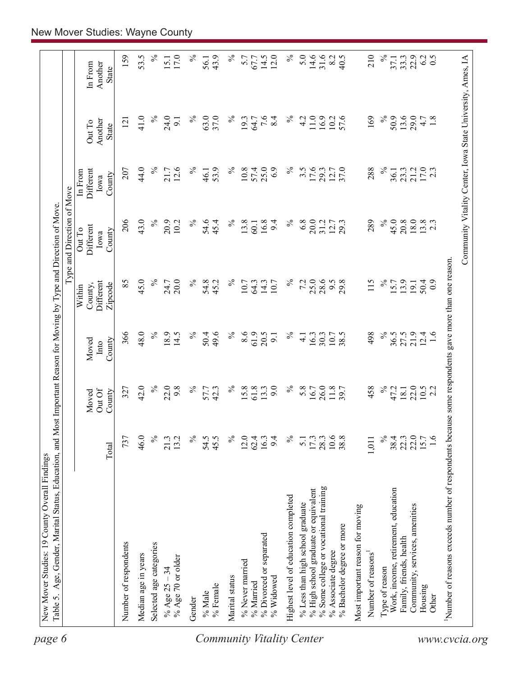| State<br>$\%$<br>24.0<br>$\%$<br>37.0<br>$\%$<br>$7.6$<br>8.4<br>$\%$<br>169<br>$\%$<br>50.9<br>13.6<br>29.0<br>41.0<br>63.0<br>11.0<br>16.9<br>57.6<br>1.8<br>19.3<br>4.2<br>10.2<br>4.7<br>9.1<br>64.7<br>121<br>Another<br>Out To<br><b>State</b><br>$17.0$<br>2.3<br>44.0<br>$\%$<br>25.0<br>17.6<br>$\%$<br>21.7<br>12.6<br>$\%$<br>53.9<br>$\%$<br>10.8<br>57.4<br>6.9<br>$\%$<br>37.0<br>288<br>21.2<br>Different<br>207<br>$3.\overline{5}$<br>29.3<br>12.7<br>23.3<br>36.1<br>In From<br>46.1<br>County<br>Iowa<br>43.0<br>206<br>$\%$<br>$\%$<br>13.8<br>16.8<br>$\%$<br>$\%$<br>45.0<br>18.0<br>$13.8$<br>2.3<br>20.9<br>54.6<br>$\%$<br>6.8<br>20.0<br>289<br>20.8<br>10.2<br>45.4<br>9.4<br>31.2<br>12.7<br>60.1<br>Different<br>Out To<br>County<br>Iowa<br>45.0<br>$\%$<br>85<br>$\%$<br>$\%$<br>25.0<br>28.6<br>$\%$<br>20.0<br>$\%$<br>7.2<br>9.5<br>115<br>24.7<br>54.8<br>14.3<br>29.8<br>13.9<br>50.4<br>45.2<br>10.7<br>15.7<br>$_{0.9}$<br>Different<br>64.3<br>10.7<br>19.1<br>Zipcode<br>County,<br>Within<br>48.0<br>61.9<br>366<br>$\%$<br>18.9<br>14.5<br>$\%$<br>$\%$<br>8.6<br>20.5<br>$\%$<br>$\%$<br>21.9<br>$12.4$<br>1.6<br>50.4<br>49.6<br>30.3<br>10.7<br>38.5<br>498<br>36.5<br>27.5<br>16.3<br>$\overline{9}$<br>$\overline{4}$<br>County<br>Moved<br>Into<br>$\%$<br>$\%$<br>$\%$<br>$\%$<br>42.0<br>22.0<br>9.8<br>$\%$<br>15.8<br>9.0<br>5.8<br>26.0<br>11.8<br>458<br>22.0<br>42.3<br>61.8<br>13.3<br>47.2<br>$10.5$<br>2.2<br>327<br>16.7<br>18.1<br>57.7<br>Out Of<br>County<br>Moved<br>$\%$<br>$\frac{173}{2800}$<br>$\frac{3}{1088}$<br>$\%$<br>22.0<br>737<br>46.0<br>21.3<br>$\%$<br>54.5<br>45.5<br>$\%$<br>16.3<br>$\%$<br>$38.4$<br>$22.3$<br>15.7<br>1.6<br>13.2<br>12.0<br>62.4<br>9.4<br>1,011<br>$\overline{51}$<br>Total<br>% Some college or vocational training<br>% High school graduate or equivalent<br>Work, income, retirement, education<br>Highest level of education completed<br>% Less than high school graduate<br>Community, services, amenities<br>Most important reason for moving<br>% Bachelor degree or more<br>% Divorced or separated<br>Family, friends, health<br>Number of respondents<br>Selected age categories<br>% Associate degree<br>Number of reasons <sup>1</sup><br>Median age in years<br>% Age 70 or older<br>% Never married<br>Type of reason<br>% Age $25 - 34$<br>Marital status<br>% Widowed<br>% Married<br>% Female<br>Housing<br>% Male<br>Other<br>Gender | Number of reasons exceeds number of respondents because some respondents gave more than one reason. |  |  | Type and Direction of Move |  |                    |
|---------------------------------------------------------------------------------------------------------------------------------------------------------------------------------------------------------------------------------------------------------------------------------------------------------------------------------------------------------------------------------------------------------------------------------------------------------------------------------------------------------------------------------------------------------------------------------------------------------------------------------------------------------------------------------------------------------------------------------------------------------------------------------------------------------------------------------------------------------------------------------------------------------------------------------------------------------------------------------------------------------------------------------------------------------------------------------------------------------------------------------------------------------------------------------------------------------------------------------------------------------------------------------------------------------------------------------------------------------------------------------------------------------------------------------------------------------------------------------------------------------------------------------------------------------------------------------------------------------------------------------------------------------------------------------------------------------------------------------------------------------------------------------------------------------------------------------------------------------------------------------------------------------------------------------------------------------------------------------------------------------------------------------------------------------------------------------------------------------------------------------------------------------------------------------------------------------------------------------------------------------------------------------------------------------------------------------------------------------------------------------------------------------------------------------------------------------------|-----------------------------------------------------------------------------------------------------|--|--|----------------------------|--|--------------------|
|                                                                                                                                                                                                                                                                                                                                                                                                                                                                                                                                                                                                                                                                                                                                                                                                                                                                                                                                                                                                                                                                                                                                                                                                                                                                                                                                                                                                                                                                                                                                                                                                                                                                                                                                                                                                                                                                                                                                                                                                                                                                                                                                                                                                                                                                                                                                                                                                                                                               |                                                                                                     |  |  |                            |  | Another<br>In From |
| 53.5                                                                                                                                                                                                                                                                                                                                                                                                                                                                                                                                                                                                                                                                                                                                                                                                                                                                                                                                                                                                                                                                                                                                                                                                                                                                                                                                                                                                                                                                                                                                                                                                                                                                                                                                                                                                                                                                                                                                                                                                                                                                                                                                                                                                                                                                                                                                                                                                                                                          |                                                                                                     |  |  |                            |  | 159                |
|                                                                                                                                                                                                                                                                                                                                                                                                                                                                                                                                                                                                                                                                                                                                                                                                                                                                                                                                                                                                                                                                                                                                                                                                                                                                                                                                                                                                                                                                                                                                                                                                                                                                                                                                                                                                                                                                                                                                                                                                                                                                                                                                                                                                                                                                                                                                                                                                                                                               |                                                                                                     |  |  |                            |  |                    |
|                                                                                                                                                                                                                                                                                                                                                                                                                                                                                                                                                                                                                                                                                                                                                                                                                                                                                                                                                                                                                                                                                                                                                                                                                                                                                                                                                                                                                                                                                                                                                                                                                                                                                                                                                                                                                                                                                                                                                                                                                                                                                                                                                                                                                                                                                                                                                                                                                                                               |                                                                                                     |  |  |                            |  | $\%$               |
| $\%$<br>14.6<br>31.6<br>$\%$<br>℅<br>$\%$<br>5.7<br>14.5<br>12.0<br>5.0<br>8.2<br>40.5<br>210<br>6.2<br>0.5<br>43.9<br>22.9<br>67.7<br>33.3<br>56.1<br>37.1                                                                                                                                                                                                                                                                                                                                                                                                                                                                                                                                                                                                                                                                                                                                                                                                                                                                                                                                                                                                                                                                                                                                                                                                                                                                                                                                                                                                                                                                                                                                                                                                                                                                                                                                                                                                                                                                                                                                                                                                                                                                                                                                                                                                                                                                                                   |                                                                                                     |  |  |                            |  | 17.0<br>15.1       |
|                                                                                                                                                                                                                                                                                                                                                                                                                                                                                                                                                                                                                                                                                                                                                                                                                                                                                                                                                                                                                                                                                                                                                                                                                                                                                                                                                                                                                                                                                                                                                                                                                                                                                                                                                                                                                                                                                                                                                                                                                                                                                                                                                                                                                                                                                                                                                                                                                                                               |                                                                                                     |  |  |                            |  |                    |
|                                                                                                                                                                                                                                                                                                                                                                                                                                                                                                                                                                                                                                                                                                                                                                                                                                                                                                                                                                                                                                                                                                                                                                                                                                                                                                                                                                                                                                                                                                                                                                                                                                                                                                                                                                                                                                                                                                                                                                                                                                                                                                                                                                                                                                                                                                                                                                                                                                                               |                                                                                                     |  |  |                            |  |                    |
|                                                                                                                                                                                                                                                                                                                                                                                                                                                                                                                                                                                                                                                                                                                                                                                                                                                                                                                                                                                                                                                                                                                                                                                                                                                                                                                                                                                                                                                                                                                                                                                                                                                                                                                                                                                                                                                                                                                                                                                                                                                                                                                                                                                                                                                                                                                                                                                                                                                               |                                                                                                     |  |  |                            |  |                    |
|                                                                                                                                                                                                                                                                                                                                                                                                                                                                                                                                                                                                                                                                                                                                                                                                                                                                                                                                                                                                                                                                                                                                                                                                                                                                                                                                                                                                                                                                                                                                                                                                                                                                                                                                                                                                                                                                                                                                                                                                                                                                                                                                                                                                                                                                                                                                                                                                                                                               |                                                                                                     |  |  |                            |  |                    |
|                                                                                                                                                                                                                                                                                                                                                                                                                                                                                                                                                                                                                                                                                                                                                                                                                                                                                                                                                                                                                                                                                                                                                                                                                                                                                                                                                                                                                                                                                                                                                                                                                                                                                                                                                                                                                                                                                                                                                                                                                                                                                                                                                                                                                                                                                                                                                                                                                                                               |                                                                                                     |  |  |                            |  |                    |
|                                                                                                                                                                                                                                                                                                                                                                                                                                                                                                                                                                                                                                                                                                                                                                                                                                                                                                                                                                                                                                                                                                                                                                                                                                                                                                                                                                                                                                                                                                                                                                                                                                                                                                                                                                                                                                                                                                                                                                                                                                                                                                                                                                                                                                                                                                                                                                                                                                                               |                                                                                                     |  |  |                            |  |                    |
|                                                                                                                                                                                                                                                                                                                                                                                                                                                                                                                                                                                                                                                                                                                                                                                                                                                                                                                                                                                                                                                                                                                                                                                                                                                                                                                                                                                                                                                                                                                                                                                                                                                                                                                                                                                                                                                                                                                                                                                                                                                                                                                                                                                                                                                                                                                                                                                                                                                               |                                                                                                     |  |  |                            |  |                    |
|                                                                                                                                                                                                                                                                                                                                                                                                                                                                                                                                                                                                                                                                                                                                                                                                                                                                                                                                                                                                                                                                                                                                                                                                                                                                                                                                                                                                                                                                                                                                                                                                                                                                                                                                                                                                                                                                                                                                                                                                                                                                                                                                                                                                                                                                                                                                                                                                                                                               |                                                                                                     |  |  |                            |  |                    |
|                                                                                                                                                                                                                                                                                                                                                                                                                                                                                                                                                                                                                                                                                                                                                                                                                                                                                                                                                                                                                                                                                                                                                                                                                                                                                                                                                                                                                                                                                                                                                                                                                                                                                                                                                                                                                                                                                                                                                                                                                                                                                                                                                                                                                                                                                                                                                                                                                                                               |                                                                                                     |  |  |                            |  |                    |
|                                                                                                                                                                                                                                                                                                                                                                                                                                                                                                                                                                                                                                                                                                                                                                                                                                                                                                                                                                                                                                                                                                                                                                                                                                                                                                                                                                                                                                                                                                                                                                                                                                                                                                                                                                                                                                                                                                                                                                                                                                                                                                                                                                                                                                                                                                                                                                                                                                                               |                                                                                                     |  |  |                            |  |                    |
|                                                                                                                                                                                                                                                                                                                                                                                                                                                                                                                                                                                                                                                                                                                                                                                                                                                                                                                                                                                                                                                                                                                                                                                                                                                                                                                                                                                                                                                                                                                                                                                                                                                                                                                                                                                                                                                                                                                                                                                                                                                                                                                                                                                                                                                                                                                                                                                                                                                               |                                                                                                     |  |  |                            |  |                    |
|                                                                                                                                                                                                                                                                                                                                                                                                                                                                                                                                                                                                                                                                                                                                                                                                                                                                                                                                                                                                                                                                                                                                                                                                                                                                                                                                                                                                                                                                                                                                                                                                                                                                                                                                                                                                                                                                                                                                                                                                                                                                                                                                                                                                                                                                                                                                                                                                                                                               |                                                                                                     |  |  |                            |  |                    |
|                                                                                                                                                                                                                                                                                                                                                                                                                                                                                                                                                                                                                                                                                                                                                                                                                                                                                                                                                                                                                                                                                                                                                                                                                                                                                                                                                                                                                                                                                                                                                                                                                                                                                                                                                                                                                                                                                                                                                                                                                                                                                                                                                                                                                                                                                                                                                                                                                                                               |                                                                                                     |  |  |                            |  |                    |
|                                                                                                                                                                                                                                                                                                                                                                                                                                                                                                                                                                                                                                                                                                                                                                                                                                                                                                                                                                                                                                                                                                                                                                                                                                                                                                                                                                                                                                                                                                                                                                                                                                                                                                                                                                                                                                                                                                                                                                                                                                                                                                                                                                                                                                                                                                                                                                                                                                                               |                                                                                                     |  |  |                            |  |                    |
|                                                                                                                                                                                                                                                                                                                                                                                                                                                                                                                                                                                                                                                                                                                                                                                                                                                                                                                                                                                                                                                                                                                                                                                                                                                                                                                                                                                                                                                                                                                                                                                                                                                                                                                                                                                                                                                                                                                                                                                                                                                                                                                                                                                                                                                                                                                                                                                                                                                               |                                                                                                     |  |  |                            |  |                    |
|                                                                                                                                                                                                                                                                                                                                                                                                                                                                                                                                                                                                                                                                                                                                                                                                                                                                                                                                                                                                                                                                                                                                                                                                                                                                                                                                                                                                                                                                                                                                                                                                                                                                                                                                                                                                                                                                                                                                                                                                                                                                                                                                                                                                                                                                                                                                                                                                                                                               |                                                                                                     |  |  |                            |  |                    |
|                                                                                                                                                                                                                                                                                                                                                                                                                                                                                                                                                                                                                                                                                                                                                                                                                                                                                                                                                                                                                                                                                                                                                                                                                                                                                                                                                                                                                                                                                                                                                                                                                                                                                                                                                                                                                                                                                                                                                                                                                                                                                                                                                                                                                                                                                                                                                                                                                                                               |                                                                                                     |  |  |                            |  |                    |
|                                                                                                                                                                                                                                                                                                                                                                                                                                                                                                                                                                                                                                                                                                                                                                                                                                                                                                                                                                                                                                                                                                                                                                                                                                                                                                                                                                                                                                                                                                                                                                                                                                                                                                                                                                                                                                                                                                                                                                                                                                                                                                                                                                                                                                                                                                                                                                                                                                                               |                                                                                                     |  |  |                            |  |                    |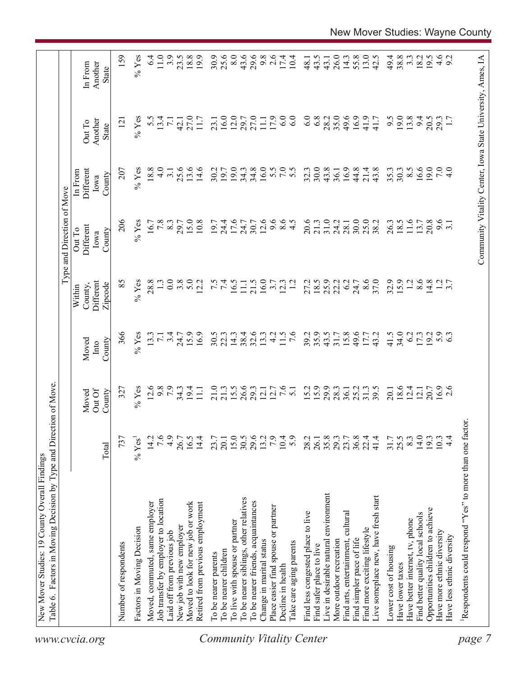|                                  | Table 6. Factors in Moving Decision by Type and Direction of Move. |                  |                           |                         |                                           | Type and Direction of Move            |                                        |                                                            |                                    |
|----------------------------------|--------------------------------------------------------------------|------------------|---------------------------|-------------------------|-------------------------------------------|---------------------------------------|----------------------------------------|------------------------------------------------------------|------------------------------------|
| www.cvcia.org                    |                                                                    | Total            | Out Of<br>County<br>Moved | County<br>Moved<br>Into | Different<br>Zipcode<br>County,<br>Within | Different<br>Out To<br>County<br>Iowa | Different<br>In From<br>County<br>Iowa | Another<br>Out To<br>State                                 | Another<br>In From<br><b>State</b> |
|                                  | Number of respondents                                              | 737              | 327                       | 366                     | 85                                        | 206                                   | 207                                    | $\overline{2}$                                             | 159                                |
|                                  | Factors in Moving Decision                                         | $\%$ Yes         | $%$ Yes                   | $%$ Yes                 | $%$ Yes                                   | $%$ Yes                               | $%$ Yes                                | $%$ Yes                                                    | $%$ Yes                            |
|                                  | Moved, commuted, same employer                                     | 14.2             | 12.6                      | 13.3                    | 28.8                                      | 16.7                                  | 18.8                                   | 5.5                                                        | 6.4                                |
|                                  | Job transfer by employer to location                               | 7.6              | 9.8                       | $\overline{7.1}$        |                                           | 7.8                                   | $\frac{0}{4}$                          | 13.4                                                       | 11.0                               |
|                                  | Laid off from previous job                                         | 4.9              | 7.9                       | 3.4                     | 0.0                                       | 8.3                                   | 3.1                                    | $\overline{71}$                                            | 3.9                                |
|                                  | New job with new employer                                          | 26.7             | $34.3$<br>19.4            | 24.7                    | 3.8                                       | 29.7                                  | 25.6                                   | 42.1                                                       | 23.5                               |
|                                  | Moved to look for new job or work                                  | 16.5             |                           | 15.9                    | 5.0                                       | 15.0                                  | 13.6                                   | 27.0                                                       | 18.8                               |
|                                  | Retired from previous employment                                   | 14.4             | $\Xi$                     | 16.9                    | 12.2                                      | 10.8                                  | 14.6                                   | 11.7                                                       | 19.9                               |
|                                  | To be nearer parents                                               | 23.7             | 21.0                      | 30.5                    |                                           | 19.7                                  | 30.2                                   | 23.1                                                       | 30.9                               |
|                                  | To be nearer children                                              | 20.1             | 21.3                      | 22.3                    | 7.5                                       | 24.4                                  | 19.7                                   | 16.0                                                       | 25.6                               |
|                                  | To live with spouse or partner                                     |                  | 15.5                      | 14.3                    | 16.5                                      | 17.6                                  | 19.0                                   | 12.0                                                       | 8.0                                |
|                                  | To be nearer siblings, other relatives                             | $15.0$<br>$30.5$ | 26.6                      | 38.4                    | $\Xi$                                     | 24.7                                  | 34.3                                   | 29.7                                                       | 43.6                               |
|                                  | To be nearer friends, acquaintances                                | 29.6             | 29.3                      | 32.6                    | 21.5                                      | 30.7                                  | 34.8                                   | 27.0                                                       | 29.6                               |
|                                  | Change in marital status                                           | 13.2             | 12.1                      | 13.3                    | 16.0                                      | 12.6                                  | 16.0                                   | $\overline{111}$                                           | 9.8                                |
|                                  | Place easier find spouse or partner                                | 7.9              | 12.7                      | $\frac{1}{4}$           | 3.7                                       | 9.6                                   |                                        | 17.9                                                       | 2.6                                |
|                                  | Decline in health                                                  | 10.4             | 7.6                       | 11.5                    | 12.3                                      | $\frac{6}{4}$ .5                      | 5.0000                                 | 6.0                                                        | 17.4                               |
| <b>Community Vitality Center</b> | Take care aging parents                                            | 5.9              | $\overline{51}$           | $\overline{7.6}$        | $\overline{12}$                           |                                       |                                        | 6.0                                                        | 10.4                               |
|                                  | Find less congested place to live                                  | 28.2             | 15.2                      | 39.2                    | 27.2                                      | 20.6                                  | 32.3                                   | 6.0                                                        | 48.1                               |
|                                  | Find safer place to live                                           | 26.1             | 15.9                      | 35.9                    | 18.5                                      | 21.3                                  | 30.0                                   | 6.8                                                        | 43.5                               |
|                                  | Live in desirable natural environment                              | 35.8             | 29.9                      | 43.5                    | 25.9                                      | 31.0                                  | 43.8                                   | 28.2                                                       | 43.1                               |
|                                  | More outdoor recreation                                            | 29.3             | 28.3                      | 31.7                    | 22.2                                      | 24.2                                  | 36.1                                   | 35.0                                                       | 26.0                               |
|                                  | Find arts, entertainment, cultural                                 | 23.7             | 36.1                      | 15.8                    | 6.2                                       | 28.1                                  | 16.9                                   | 49.6                                                       | 14.3                               |
|                                  | Find simpler pace of life                                          | $36.8$<br>$22.4$ | 25.2                      | 49.6                    | 24.7                                      | 30.0                                  | 44.8                                   | 16.9                                                       | 55.8                               |
|                                  | Find more exciting lifestyle                                       |                  | 31.3                      | 17.7                    | 8.6                                       | 25.0                                  | 21.4                                   | 41.9                                                       | 13.0                               |
|                                  | Live someplace new, have fresh start                               | 41.4             | 39.5                      | 43.2                    | 37.0                                      | 38.2                                  | 43.8                                   | 41.7                                                       | 42.5                               |
|                                  | Lower cost of housing                                              | 31.7             | 20.1                      | 41.5                    | 32.9                                      | 26.3                                  | 35.3                                   | 9.5                                                        | 49.4                               |
|                                  | Have lower taxes                                                   | 25.5             | 18.6                      | 34.0                    | 15.9                                      | 18.5                                  | 30.3                                   | 19.0                                                       | 38.8                               |
|                                  | Have better internet, tv, phone                                    | 8.3              | 12.4                      | 6.2                     | 1.2                                       | 11.6                                  | $8.\overline{5}$                       | 13.8                                                       | $3.\overline{3}$                   |
|                                  | Find better quality local schools                                  | 14.0             | 12.1                      | 17.3                    | 8.6                                       | 13.7                                  | 16.6                                   | 94                                                         | 18.2                               |
|                                  | Opportunities children to achieve                                  | 193              | 20.7                      | 19.2                    | 14.8                                      | 20.8                                  | 19.0                                   | 20.5                                                       | 19.5                               |
|                                  | Have more ethnic diversity                                         | 10.3             | $16.9$<br>2.6             | $5.9$<br>6.3            |                                           | 9.6                                   | 7.0                                    | 29.3                                                       |                                    |
|                                  | Have less ethnic diversity                                         | $\frac{4}{4}$    |                           |                         | $\frac{1}{3}$ .7                          |                                       | $\frac{1}{4}$                          |                                                            | $4.6$<br>9.2                       |
| page                             | Respondents could respond "Yes" to more than one factor            |                  |                           |                         |                                           |                                       |                                        |                                                            |                                    |
|                                  |                                                                    |                  |                           |                         |                                           |                                       |                                        |                                                            |                                    |
|                                  |                                                                    |                  |                           |                         |                                           |                                       |                                        | Community Vitality Center, Iowa State University, Ames, IA |                                    |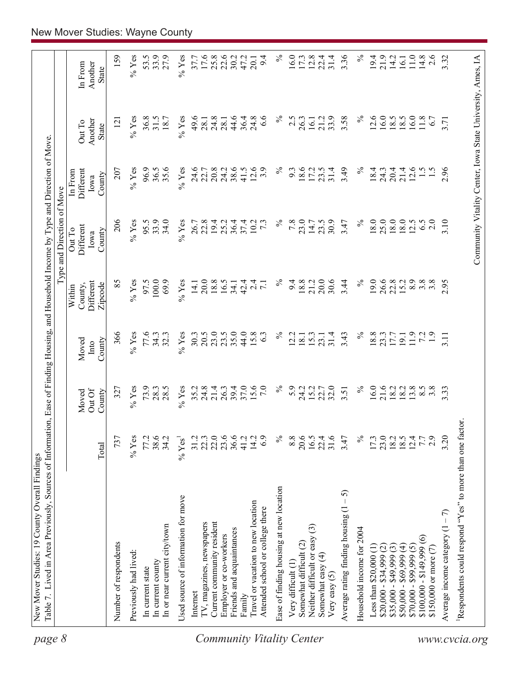| 8<br>page                        | Table 7. Lived in Area Previously, Sources of Information, Ease of Finding Housing, and Household Income by Type and Direction of Move |                            |                          |                         |                                           | Type and Direction of Move                                 |                                               |                                   |                             |
|----------------------------------|----------------------------------------------------------------------------------------------------------------------------------------|----------------------------|--------------------------|-------------------------|-------------------------------------------|------------------------------------------------------------|-----------------------------------------------|-----------------------------------|-----------------------------|
|                                  |                                                                                                                                        | Total                      | OutOf<br>County<br>Moved | County<br>Moved<br>Into | Different<br>County,<br>Zipcode<br>Within | Different<br>Out To<br>County<br>Iowa                      | <b>Different</b><br>In From<br>County<br>Iowa | Another<br>Out To<br><b>State</b> | Another<br>In From<br>State |
|                                  | Number of respondents                                                                                                                  | 737                        | 327                      | 366                     | 85                                        | 206                                                        | 207                                           | $\overline{2}$                    | 159                         |
|                                  | Previously had lived:                                                                                                                  | $%$ Yes                    | $%$ Yes                  | $%$ Yes                 | $%$ Yes                                   | $%$ Yes                                                    | $%$ Yes                                       | $\%$ Yes                          | $\%$ Yes                    |
|                                  | In current state                                                                                                                       | 77.2                       | 73.9                     | 77.6                    | 97.5                                      | 95.5                                                       | 96.9                                          | 36.8                              | 53.5                        |
|                                  | In current county                                                                                                                      | 38.6                       | 28.3                     | 34.3                    | 100.0                                     | 33.9                                                       | 36.5                                          | 31.5                              | 33.9                        |
|                                  | In or near current city/town                                                                                                           | 34.2                       | 28.5                     | 32.3                    | 69.9                                      | 34.0                                                       | 35.6                                          | 18.7                              | 27.9                        |
|                                  | Used source of information for move                                                                                                    | $\%$ Yes <sup>1</sup>      | $%$ Yes                  | $%$ Yes                 | $%$ Yes                                   | $%$ Yes                                                    | $%$ Yes                                       | $%$ Yes                           | $%$ Yes                     |
|                                  | Internet                                                                                                                               | 31.2                       | 35.2                     | 30.3                    | 14.1                                      | 26.7                                                       | 24.6                                          | 49.6                              | 37.7                        |
|                                  | TV, magazines, newspapers                                                                                                              | 22.3                       | 24.8                     | 20.5                    | 20.0                                      | 22.8                                                       | 22.7                                          | 28.1                              | 17.6                        |
|                                  | Current community resident                                                                                                             | 22.0                       | 21.4                     | 23.0                    | 18.8                                      | 19.4                                                       | 20.8                                          | 24.8                              | 25.8                        |
|                                  | Employer or co-workers                                                                                                                 | 23.6                       | 26.3                     | 23.5                    | 16.5                                      | 25.2                                                       | 24.2                                          | 28.1                              | 22.6                        |
|                                  | Friends and acquaintances                                                                                                              | 36.6                       | 39.4                     | 35.0                    | 34.1                                      | 36.4                                                       | 38.6                                          | 44.6                              | 30.2                        |
|                                  | Family                                                                                                                                 | 41.2                       | 37.0                     | 44.0                    | 42.4                                      | 37.4                                                       | 41.5                                          | 36.4                              | 47.2                        |
|                                  | Travel or vacation to new location                                                                                                     | 14.2                       | 15.6<br>7.0              | 15.8                    | $\overline{c}$<br>$\overline{7.1}$        | 10.2                                                       | 12.6                                          | 24.8                              | 20.1                        |
|                                  | Attended school or college there                                                                                                       | 6.9                        |                          | 63                      |                                           | $7\cdot$                                                   | 3.9                                           | 6.6                               | 9.4                         |
| <b>Community Vitality Center</b> | Ease of finding housing at new location                                                                                                | $\%$                       | $\%$                     | $\%$                    | $\%$                                      | $\%$                                                       | $\%$                                          | ℅                                 | $\%$                        |
|                                  | Very difficult (1)                                                                                                                     | 8.8                        | 5.9                      | 2.2                     | 9.4                                       | 7.8                                                        | 9.3                                           | 2.5                               | 16.0                        |
|                                  | Somewhat difficult (2)                                                                                                                 | 20.6                       | 24.2                     | 18.1                    | 18.8                                      | 23.0                                                       | 18.6                                          | 26.3                              | 17.3                        |
|                                  | $\widehat{c}$<br>Neither difficult or easy                                                                                             | 16.5                       | 15.2                     | 15.3                    | 21.2                                      | 14.7                                                       | 17.2                                          | 16.1                              | 12.8                        |
|                                  | Somewhat easy (4)<br>Very easy $(5)$                                                                                                   | 22.4<br>31.6               | 22.7                     | 31.4<br>23.1            | 30.6<br>20.0                              | 30.9<br>23.5                                               | 31.4<br>23.5                                  | 33.9<br>21.2                      | 22.4<br>31.4                |
|                                  | $-5$<br>Average rating finding housing (1                                                                                              | 3.47                       | 3.51                     | 3.43                    | 3.44                                      | 3.47                                                       | 3.49                                          | 3.58                              | 3.36                        |
|                                  | Household income for 2004                                                                                                              | $\%$                       | $\%$                     | $\%$                    | $\%$                                      | $\%$                                                       | $\%$                                          | $\%$                              | $\%$                        |
|                                  | Less than \$20,000 (1)                                                                                                                 | 17.3                       | 16.0                     | 18.8                    | 19.0                                      | 18.0                                                       | 18.4                                          | 12.6                              | 19.4                        |
|                                  | $$20,000 - $34,999$ (2)                                                                                                                | 23.0                       |                          | 23.3                    | 26.6                                      | 25.0                                                       | 24.3                                          | 6.0                               | 21.9                        |
|                                  | $$35,000 - $49,999(3)$                                                                                                                 | $18.5$<br>$18.5$<br>$12.4$ | 21.6<br>18.2             | 17.7                    | 22.8                                      | 18.0                                                       | 20.4                                          | 8.5                               | 14.2                        |
|                                  | $$50,000 - $69,999(4)$                                                                                                                 |                            | 18.2                     | 19.1                    | 15.2                                      | 18.0                                                       | 21.4                                          | 8.5                               | 16.1                        |
|                                  | $$70,000 - $99,999(5)$                                                                                                                 |                            | 13.8                     | 11.9                    | 8.9                                       | 12.5                                                       | 12.6                                          | 6.0                               | 11.0                        |
|                                  | $\widehat{\circ}$<br>$$100,000 - $149,999$                                                                                             | 7.7                        | 8.5                      | 72                      | $3.\overline{8}$                          | 6.5                                                        | $\frac{1}{5}$                                 | 11.8                              | 14.8                        |
|                                  | \$150,000 or more $(7)$                                                                                                                | 2.9                        | $3.\overline{8}$         | $\overline{1.9}$        | $3.\overline{8}$                          | 2.0                                                        |                                               | 6.7                               | 2.6                         |
|                                  | Average income category $(1 - 7)$                                                                                                      | 3.20                       | 3.33                     | 3.11                    | 2.95                                      | 3.10                                                       | 2.96                                          | 3.71                              | 3.32                        |
| www.cvcia.org                    | Respondents could respond "Yes" to more than one factor.                                                                               |                            |                          |                         |                                           |                                                            |                                               |                                   |                             |
|                                  |                                                                                                                                        |                            |                          |                         |                                           | Community Vitality Center, Iowa State University, Ames, IA |                                               |                                   |                             |
|                                  |                                                                                                                                        |                            |                          |                         |                                           |                                                            |                                               |                                   |                             |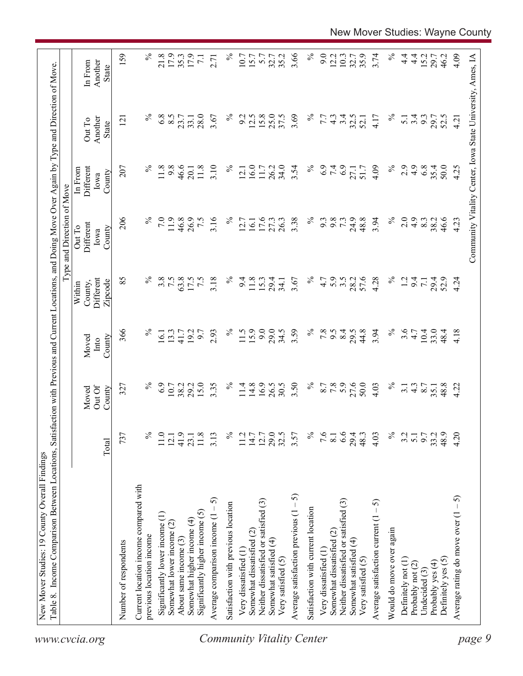|                                                                 |                  |                           |                         |                                           | Type and Direction of Move            |                                                            |                                   |                                    |
|-----------------------------------------------------------------|------------------|---------------------------|-------------------------|-------------------------------------------|---------------------------------------|------------------------------------------------------------|-----------------------------------|------------------------------------|
|                                                                 | Total            | Out Of<br>County<br>Moved | County<br>Moved<br>Into | Different<br>County,<br>Zipcode<br>Within | Different<br>Out To<br>County<br>Iowa | Different<br>In From<br>County<br>Iowa                     | Another<br>Out To<br><b>State</b> | Another<br>In From<br><b>State</b> |
| Number of respondents                                           | 737              | 327                       | 366                     | 85                                        | 206                                   | 207                                                        | $\overline{2}$                    | 159                                |
| Current location income compared with                           |                  |                           |                         |                                           |                                       |                                                            |                                   |                                    |
| previous location income                                        | ℅                | ℅                         | $\%$                    | $\%$                                      |                                       | $\%$                                                       |                                   | $\%$                               |
| Significantly lower income (1)                                  | 11.0             | 6.9                       | 16.1                    | 3.8                                       | 7.0                                   | 11.8                                                       | 6.8                               | 21.8                               |
| Somewhat lower income (2)                                       | 12.1             | 10.7<br>38.2              | 13.3                    | 7.5                                       | 11.9                                  | 9.8                                                        | 8.5                               | 17.9                               |
| About same income (3)                                           | 41.9             |                           | 41.7                    | 63.8                                      | 46.8                                  | 46.6                                                       | 23.7                              | 35.3                               |
| Significantly higher income $(5)$<br>Somewhat higher income (4) | 11.8<br>23.1     | 15.0<br>29.2              | 19.2<br>6.7             | 7.5<br>17.5                               | 26.9<br>7.5                           | 11.8<br>20.1                                               | 28.0<br>33.1                      | 17.9<br>$\overline{71}$            |
| 5<br>Average comparison income $(1 -$                           | 3.13             | 3.35                      | 2.93                    | 3.18                                      | 3.16                                  | 3.10                                                       | 3.67                              | 2.71                               |
|                                                                 |                  | $\%$                      | $\%$                    | $\%$                                      | $\%$                                  | $\%$                                                       | $\%$                              | $\%$                               |
| Satisfaction with previous location                             | ℅                |                           |                         |                                           |                                       |                                                            |                                   |                                    |
| Very dissatisfied (1                                            | 11.2             | 11.4                      | 11.5                    | 9.4                                       | 12.7                                  | 12.1                                                       | 9.2                               | 10.7                               |
| Somewhat dissatisfied (2)                                       | 14.7             | 14.8                      | 15.9                    | 11.8                                      | 16.1                                  | 16.0                                                       | 12.5                              | 15.7                               |
| Neither dissatisfied or satisfied (3)                           | 12.7             | 16.9                      | 9.0                     | 15.3                                      | 17.6                                  | 11.7                                                       | 15.8                              | 5.7                                |
| Somewhat satisfied (4)                                          | 29.5             | 26.5                      | 29.0                    | 29.4                                      | 27.3                                  | 26.2                                                       | 25.0                              | 32.7                               |
| Very satisfied (5)                                              |                  | 30.5                      | 34.5                    | 34.1                                      | 26.3                                  | 34.0                                                       | 37.5                              | 35.2                               |
| Average satisfaction previous $(1 - 5)$                         | 3.57             | 3.50                      | 3.59                    | 3.67                                      | 3.38                                  | 3.54                                                       | 3.69                              | 3.66                               |
| Satisfaction with current location                              | $\%$             | $\%$                      | $\%$                    | $\%$                                      | $\%$                                  | $\%$                                                       | $\%$                              | $\%$                               |
| Very dissatisfied (1                                            | 9.6              |                           | 7.8                     | 4.7                                       | 9.3                                   | 6.9                                                        | 7.7                               | 9.0                                |
| Somewhat dissatisfied (2)                                       | 8.1              | 8.7<br>7.8                | 9.5                     | 5.9                                       | 9.8                                   | 7.4                                                        | $4.\overline{3}$                  | 12.2                               |
| Neither dissatisfied or satisfied (3)                           | 6.6              | 5.9                       | 8.4                     | $3.5$<br>$28.2$                           | 73                                    |                                                            | 3.4                               | 10.3                               |
| Somewhat satisfied (4)                                          | 29.4             | 27.6                      | 29.5                    |                                           | 24.9                                  | 27.1                                                       | 32.5                              | 32.7                               |
| Very satisfied (5)                                              | 48.3             | 50.0                      | 44.8                    | 57.6                                      | 48.8                                  | 51.7                                                       | 52.1                              | 35.9                               |
| Average satisfaction current $(1 - 5)$                          | 4.03             | 4.03                      | 3.94                    | 4.28                                      | 3.94                                  | 4.09                                                       | 4.17                              | 3.74                               |
| Would do move over again                                        | $\%$             | $\%$                      | $\%$                    | $\%$                                      | $\%$                                  | $\%$                                                       | $\%$                              | $\%$                               |
| Definitely not (1)                                              | 3.2              | $\overline{3}$ .          | 3.6                     | $\overline{5}$                            | 2.0                                   | 2.9                                                        | $\overline{5.1}$                  | $\frac{4}{1}$                      |
| Probably not (2)                                                | $\overline{5.1}$ | $4.\overline{3}$          | 4.7                     | 9.4                                       | 4.9                                   | 4.9                                                        | 3.4                               | $\frac{4}{1}$                      |
| Undecided (3)                                                   | 9.7              | 8.7                       | 10.4                    | $\overline{71}$                           | 8.3                                   | 6.8                                                        | 9.3                               | 15.2                               |
| Probably yes (4)                                                | 33.2             | 35.1                      | 33.0                    | 29.4<br>52.9                              | 38.2                                  | 35.4                                                       | 29.7                              | 29.7                               |
| Definitely yes (5)                                              | 48.9             | 48.8                      | 48.4                    |                                           | 46.6                                  | 50.0                                                       | 52.5                              | 46.2                               |
| رې<br>-<br>Average rating do move over (1                       | 4.20             | 4.22                      | 4.18                    | 4.24                                      | 4.23                                  | 4.25                                                       | 4.21                              | 4.09                               |
|                                                                 |                  |                           |                         |                                           |                                       | Community Vitality Center, Iowa State University, Ames, IA |                                   |                                    |